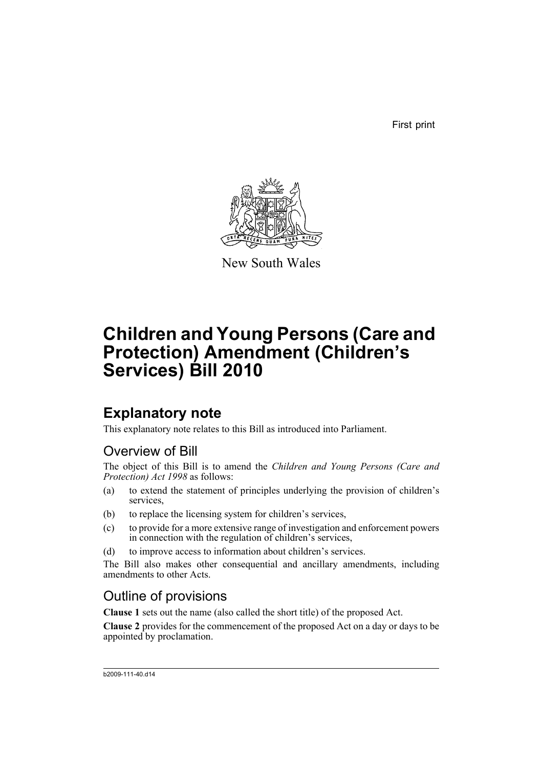First print



New South Wales

# **Children and Young Persons (Care and Protection) Amendment (Children's Services) Bill 2010**

# **Explanatory note**

This explanatory note relates to this Bill as introduced into Parliament.

# Overview of Bill

The object of this Bill is to amend the *Children and Young Persons (Care and Protection) Act 1998* as follows:

- (a) to extend the statement of principles underlying the provision of children's services,
- (b) to replace the licensing system for children's services,
- (c) to provide for a more extensive range of investigation and enforcement powers in connection with the regulation of children's services,
- (d) to improve access to information about children's services.

The Bill also makes other consequential and ancillary amendments, including amendments to other Acts.

# Outline of provisions

**Clause 1** sets out the name (also called the short title) of the proposed Act.

**Clause 2** provides for the commencement of the proposed Act on a day or days to be appointed by proclamation.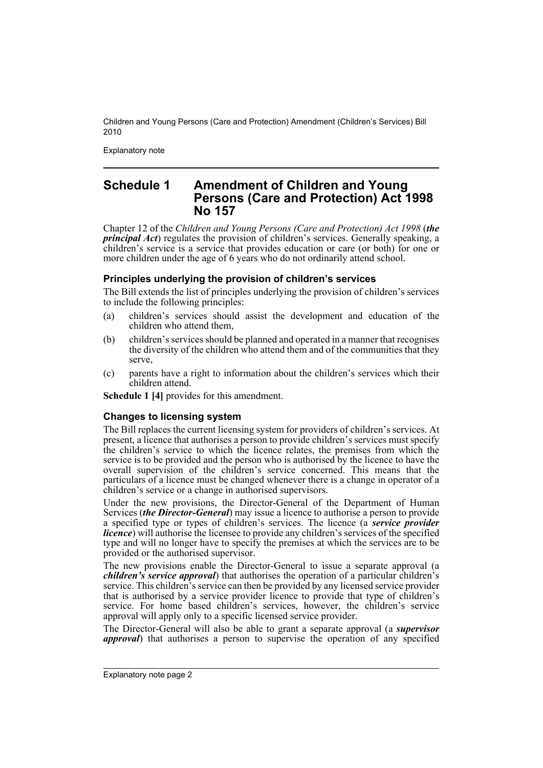Explanatory note

# **Schedule 1 Amendment of Children and Young Persons (Care and Protection) Act 1998 No 157**

Chapter 12 of the *Children and Young Persons (Care and Protection) Act 1998* (*the principal Act*) regulates the provision of children's services. Generally speaking, a children's service is a service that provides education or care (or both) for one or more children under the age of 6 years who do not ordinarily attend school.

### **Principles underlying the provision of children's services**

The Bill extends the list of principles underlying the provision of children's services to include the following principles:

- (a) children's services should assist the development and education of the children who attend them,
- (b) children's services should be planned and operated in a manner that recognises the diversity of the children who attend them and of the communities that they serve,
- (c) parents have a right to information about the children's services which their children attend.

**Schedule 1 [4]** provides for this amendment.

#### **Changes to licensing system**

The Bill replaces the current licensing system for providers of children's services. At present, a licence that authorises a person to provide children's services must specify the children's service to which the licence relates, the premises from which the service is to be provided and the person who is authorised by the licence to have the overall supervision of the children's service concerned. This means that the particulars of a licence must be changed whenever there is a change in operator of a children's service or a change in authorised supervisors.

Under the new provisions, the Director-General of the Department of Human Services (*the Director-General*) may issue a licence to authorise a person to provide a specified type or types of children's services. The licence (a *service provider licence*) will authorise the licensee to provide any children's services of the specified type and will no longer have to specify the premises at which the services are to be provided or the authorised supervisor.

The new provisions enable the Director-General to issue a separate approval (a *children's service approval*) that authorises the operation of a particular children's service. This children's service can then be provided by any licensed service provider that is authorised by a service provider licence to provide that type of children's service. For home based children's services, however, the children's service approval will apply only to a specific licensed service provider.

The Director-General will also be able to grant a separate approval (a *supervisor approval*) that authorises a person to supervise the operation of any specified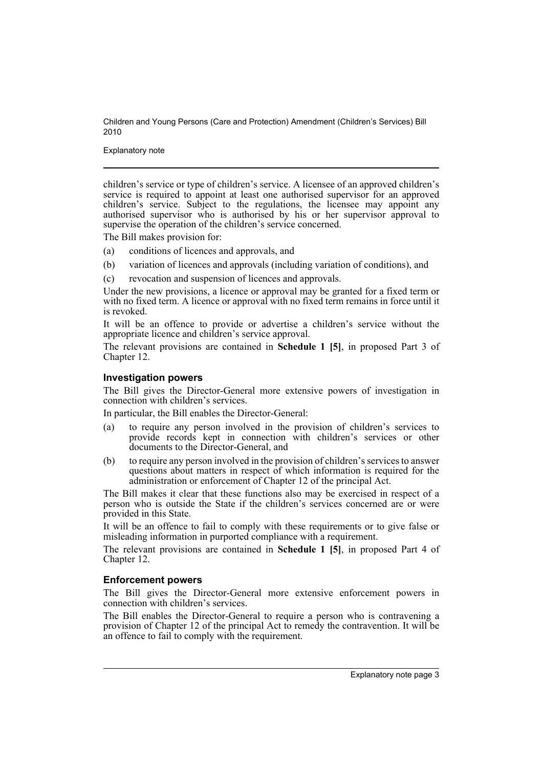Explanatory note

children's service or type of children's service. A licensee of an approved children's service is required to appoint at least one authorised supervisor for an approved children's service. Subject to the regulations, the licensee may appoint any authorised supervisor who is authorised by his or her supervisor approval to supervise the operation of the children's service concerned.

The Bill makes provision for:

- (a) conditions of licences and approvals, and
- (b) variation of licences and approvals (including variation of conditions), and
- (c) revocation and suspension of licences and approvals.

Under the new provisions, a licence or approval may be granted for a fixed term or with no fixed term. A licence or approval with no fixed term remains in force until it is revoked.

It will be an offence to provide or advertise a children's service without the appropriate licence and children's service approval.

The relevant provisions are contained in **Schedule 1 [5]**, in proposed Part 3 of Chapter 12.

#### **Investigation powers**

The Bill gives the Director-General more extensive powers of investigation in connection with children's services.

In particular, the Bill enables the Director-General:

- (a) to require any person involved in the provision of children's services to provide records kept in connection with children's services or other documents to the Director-General, and
- (b) to require any person involved in the provision of children's services to answer questions about matters in respect of which information is required for the administration or enforcement of Chapter 12 of the principal Act.

The Bill makes it clear that these functions also may be exercised in respect of a person who is outside the State if the children's services concerned are or were provided in this State.

It will be an offence to fail to comply with these requirements or to give false or misleading information in purported compliance with a requirement.

The relevant provisions are contained in **Schedule 1 [5]**, in proposed Part 4 of Chapter 12.

#### **Enforcement powers**

The Bill gives the Director-General more extensive enforcement powers in connection with children's services.

The Bill enables the Director-General to require a person who is contravening a provision of Chapter 12 of the principal Act to remedy the contravention. It will be an offence to fail to comply with the requirement.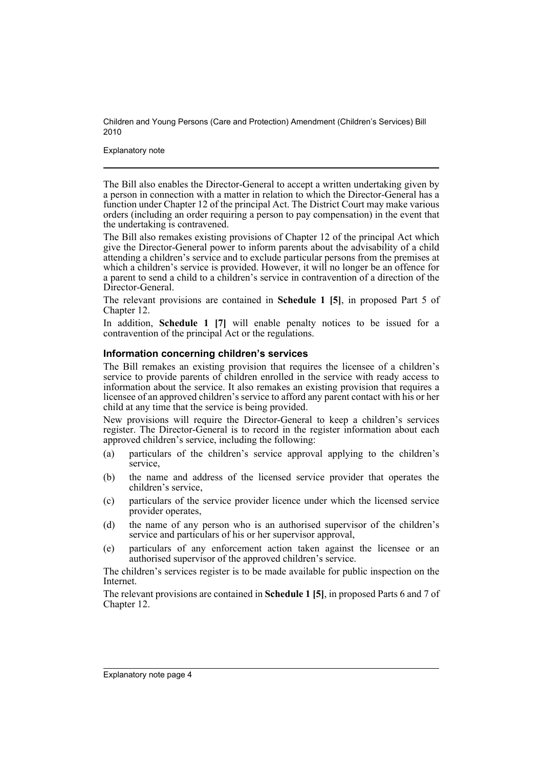Explanatory note

The Bill also enables the Director-General to accept a written undertaking given by a person in connection with a matter in relation to which the Director-General has a function under Chapter 12 of the principal Act. The District Court may make various orders (including an order requiring a person to pay compensation) in the event that the undertaking is contravened.

The Bill also remakes existing provisions of Chapter 12 of the principal Act which give the Director-General power to inform parents about the advisability of a child attending a children's service and to exclude particular persons from the premises at which a children's service is provided. However, it will no longer be an offence for a parent to send a child to a children's service in contravention of a direction of the Director-General.

The relevant provisions are contained in **Schedule 1 [5]**, in proposed Part 5 of Chapter 12.

In addition, **Schedule 1 [7]** will enable penalty notices to be issued for a contravention of the principal Act or the regulations.

### **Information concerning children's services**

The Bill remakes an existing provision that requires the licensee of a children's service to provide parents of children enrolled in the service with ready access to information about the service. It also remakes an existing provision that requires a licensee of an approved children's service to afford any parent contact with his or her child at any time that the service is being provided.

New provisions will require the Director-General to keep a children's services register. The Director-General is to record in the register information about each approved children's service, including the following:

- (a) particulars of the children's service approval applying to the children's service,
- (b) the name and address of the licensed service provider that operates the children's service,
- (c) particulars of the service provider licence under which the licensed service provider operates,
- (d) the name of any person who is an authorised supervisor of the children's service and particulars of his or her supervisor approval,
- (e) particulars of any enforcement action taken against the licensee or an authorised supervisor of the approved children's service.

The children's services register is to be made available for public inspection on the Internet.

The relevant provisions are contained in **Schedule 1 [5]**, in proposed Parts 6 and 7 of Chapter 12.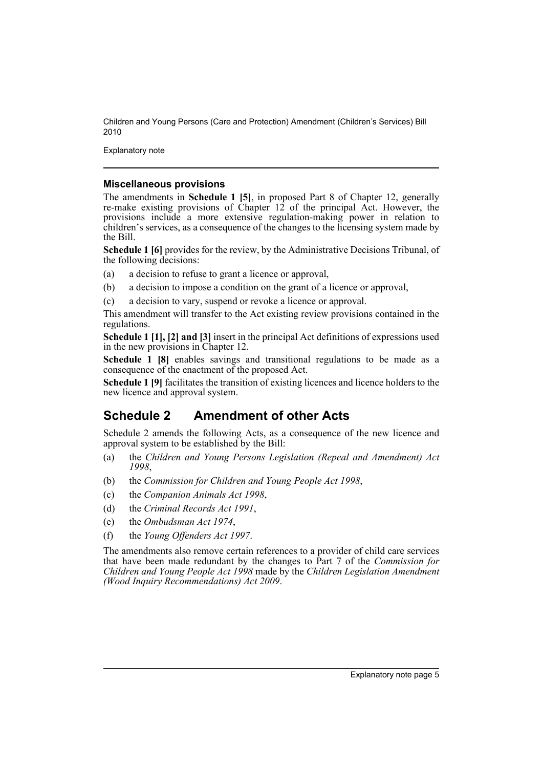Explanatory note

#### **Miscellaneous provisions**

The amendments in **Schedule 1 [5]**, in proposed Part 8 of Chapter 12, generally re-make existing provisions of Chapter 12 of the principal Act. However, the provisions include a more extensive regulation-making power in relation to children's services, as a consequence of the changes to the licensing system made by the Bill.

**Schedule 1 [6]** provides for the review, by the Administrative Decisions Tribunal, of the following decisions:

- (a) a decision to refuse to grant a licence or approval,
- (b) a decision to impose a condition on the grant of a licence or approval,
- (c) a decision to vary, suspend or revoke a licence or approval.

This amendment will transfer to the Act existing review provisions contained in the regulations.

**Schedule 1 [1], [2] and [3]** insert in the principal Act definitions of expressions used in the new provisions in Chapter 12.

**Schedule 1 [8]** enables savings and transitional regulations to be made as a consequence of the enactment of the proposed Act.

**Schedule 1 [9]** facilitates the transition of existing licences and licence holders to the new licence and approval system.

# **Schedule 2 Amendment of other Acts**

Schedule 2 amends the following Acts, as a consequence of the new licence and approval system to be established by the Bill:

- (a) the *Children and Young Persons Legislation (Repeal and Amendment) Act 1998*,
- (b) the *Commission for Children and Young People Act 1998*,
- (c) the *Companion Animals Act 1998*,
- (d) the *Criminal Records Act 1991*,
- (e) the *Ombudsman Act 1974*,
- (f) the *Young Offenders Act 1997*.

The amendments also remove certain references to a provider of child care services that have been made redundant by the changes to Part 7 of the *Commission for Children and Young People Act 1998* made by the *Children Legislation Amendment (Wood Inquiry Recommendations) Act 2009*.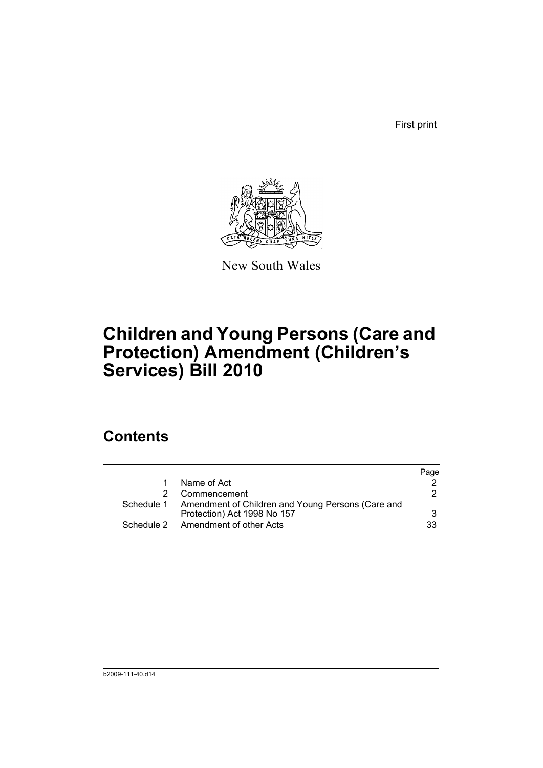First print



New South Wales

# **Children and Young Persons (Care and Protection) Amendment (Children's Services) Bill 2010**

# **Contents**

|                                                              | Page |
|--------------------------------------------------------------|------|
| Name of Act                                                  |      |
| Commencement                                                 | 2    |
| Schedule 1 Amendment of Children and Young Persons (Care and |      |
| Protection) Act 1998 No 157                                  | 3    |
| Schedule 2 Amendment of other Acts                           | 33   |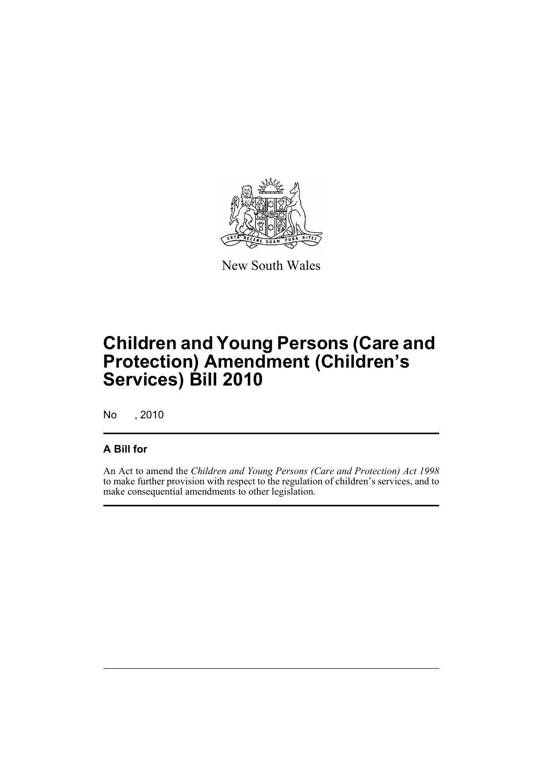

New South Wales

# **Children and Young Persons (Care and Protection) Amendment (Children's Services) Bill 2010**

No , 2010

# **A Bill for**

An Act to amend the *Children and Young Persons (Care and Protection) Act 1998* to make further provision with respect to the regulation of children's services, and to make consequential amendments to other legislation.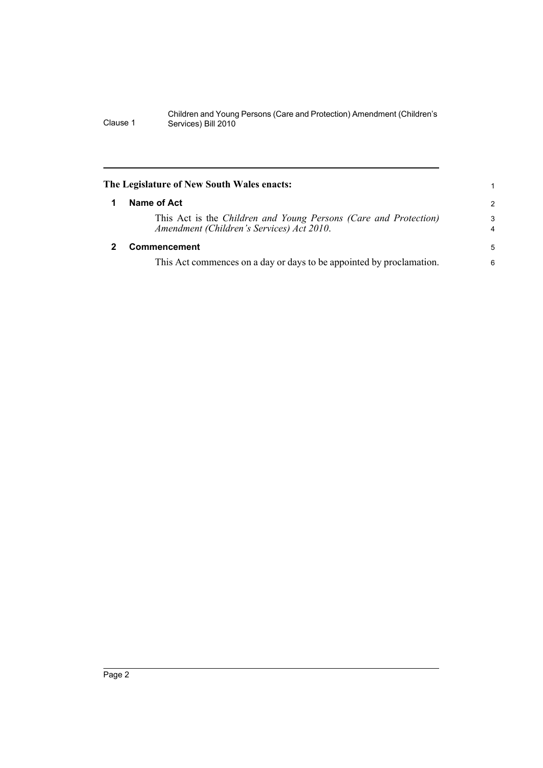<span id="page-9-1"></span><span id="page-9-0"></span>

|   | The Legislature of New South Wales enacts:                                                                    |                     |
|---|---------------------------------------------------------------------------------------------------------------|---------------------|
| 1 | Name of Act                                                                                                   | $\overline{2}$      |
|   | This Act is the Children and Young Persons (Care and Protection)<br>Amendment (Children's Services) Act 2010. | 3<br>$\overline{4}$ |
|   | <b>Commencement</b>                                                                                           | 5                   |
|   | This Act commences on a day or days to be appointed by proclamation.                                          | 6                   |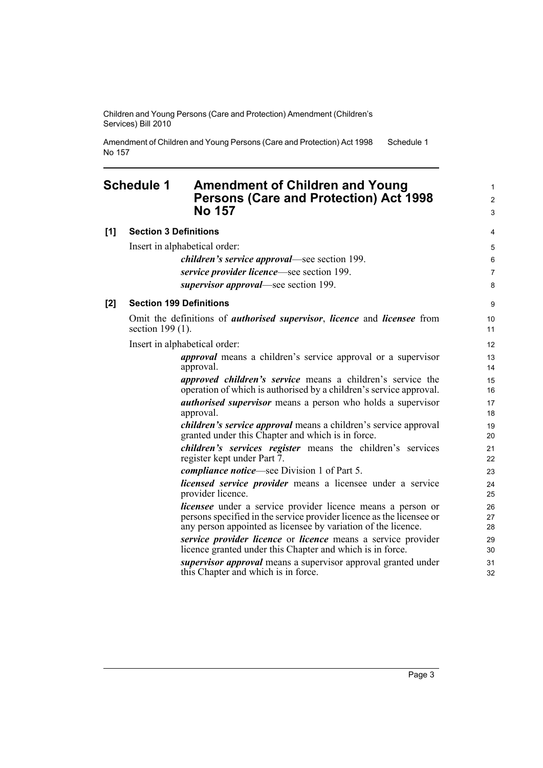Amendment of Children and Young Persons (Care and Protection) Act 1998 No 157 Schedule 1

## <span id="page-10-0"></span>**Schedule 1 Amendment of Children and Young Persons (Care and Protection) Act 1998 No 157**

**[1] Section 3 Definitions** Insert in alphabetical order: *children's service approval*—see section 199. *service provider licence*—see section 199. *supervisor approval*—see section 199. **[2] Section 199 Definitions** Omit the definitions of *authorised supervisor*, *licence* and *licensee* from section 199 (1). Insert in alphabetical order: *approval* means a children's service approval or a supervisor approval. *approved children's service* means a children's service the operation of which is authorised by a children's service approval. *authorised supervisor* means a person who holds a supervisor approval. *children's service approval* means a children's service approval granted under this Chapter and which is in force. *children's services register* means the children's services register kept under Part 7. *compliance notice*—see Division 1 of Part 5.

*licensed service provider* means a licensee under a service provider licence.

*licensee* under a service provider licence means a person or persons specified in the service provider licence as the licensee or any person appointed as licensee by variation of the licence.

*service provider licence* or *licence* means a service provider licence granted under this Chapter and which is in force.

*supervisor approval* means a supervisor approval granted under this Chapter and which is in force.

1 2 3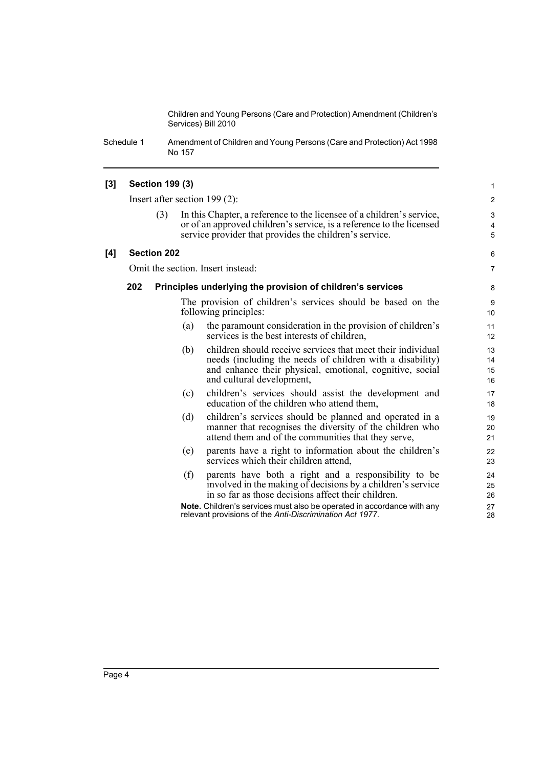Schedule 1 Amendment of Children and Young Persons (Care and Protection) Act 1998 No 157

#### **[3] Section 199 (3)**

Insert after section 199 (2):

(3) In this Chapter, a reference to the licensee of a children's service, or of an approved children's service, is a reference to the licensed service provider that provides the children's service.

#### **[4] Section 202**

Omit the section. Insert instead:

#### **202 Principles underlying the provision of children's services**

The provision of children's services should be based on the following principles:

- (a) the paramount consideration in the provision of children's services is the best interests of children,
- (b) children should receive services that meet their individual needs (including the needs of children with a disability) and enhance their physical, emotional, cognitive, social and cultural development,
- (c) children's services should assist the development and education of the children who attend them,
- (d) children's services should be planned and operated in a manner that recognises the diversity of the children who attend them and of the communities that they serve,
- (e) parents have a right to information about the children's services which their children attend,
- (f) parents have both a right and a responsibility to be involved in the making of decisions by a children's service in so far as those decisions affect their children.

**Note.** Children's services must also be operated in accordance with any relevant provisions of the *Anti-Discrimination Act 1977*.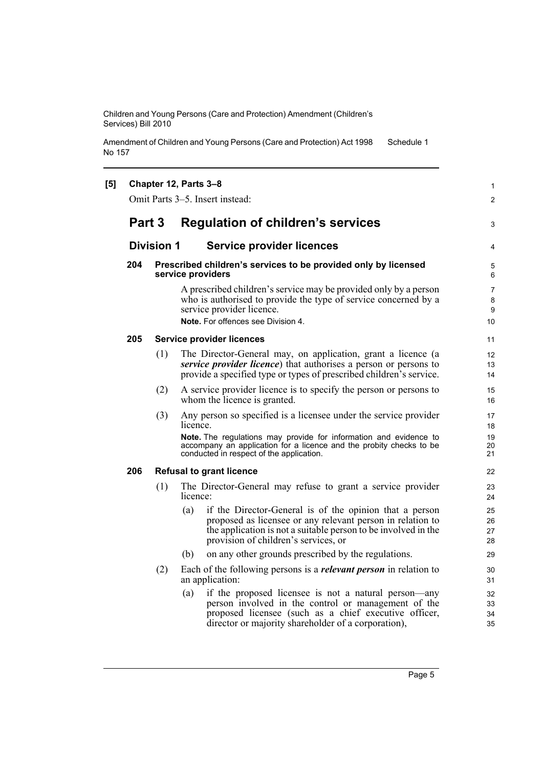Amendment of Children and Young Persons (Care and Protection) Act 1998 No 157 Schedule 1

| [5] |        |                   | Chapter 12, Parts 3-8<br>Omit Parts 3-5. Insert instead:                                                                                                                                                                                                             | 1<br>2                        |
|-----|--------|-------------------|----------------------------------------------------------------------------------------------------------------------------------------------------------------------------------------------------------------------------------------------------------------------|-------------------------------|
|     | Part 3 |                   | <b>Regulation of children's services</b>                                                                                                                                                                                                                             | 3                             |
|     |        | <b>Division 1</b> | <b>Service provider licences</b>                                                                                                                                                                                                                                     | 4                             |
|     | 204    |                   | Prescribed children's services to be provided only by licensed<br>service providers                                                                                                                                                                                  | 5<br>6                        |
|     |        |                   | A prescribed children's service may be provided only by a person<br>who is authorised to provide the type of service concerned by a<br>service provider licence.<br>Note. For offences see Division 4.                                                               | 7<br>8<br>9<br>10             |
|     | 205    |                   | <b>Service provider licences</b>                                                                                                                                                                                                                                     | 11                            |
|     |        | (1)               | The Director-General may, on application, grant a licence (a<br>service provider licence) that authorises a person or persons to<br>provide a specified type or types of prescribed children's service.                                                              | $12 \overline{ }$<br>13<br>14 |
|     |        | (2)               | A service provider licence is to specify the person or persons to<br>whom the licence is granted.                                                                                                                                                                    | 15<br>16                      |
|     |        | (3)               | Any person so specified is a licensee under the service provider<br>licence.<br>Note. The regulations may provide for information and evidence to<br>accompany an application for a licence and the probity checks to be<br>conducted in respect of the application. | 17<br>18<br>19<br>20<br>21    |
|     | 206    |                   | <b>Refusal to grant licence</b>                                                                                                                                                                                                                                      | 22                            |
|     |        | (1)               | The Director-General may refuse to grant a service provider<br>licence:                                                                                                                                                                                              | 23<br>24                      |
|     |        |                   | if the Director-General is of the opinion that a person<br>(a)<br>proposed as licensee or any relevant person in relation to<br>the application is not a suitable person to be involved in the<br>provision of children's services, or                               | 25<br>26<br>27<br>28          |
|     |        |                   | on any other grounds prescribed by the regulations.<br>(b)                                                                                                                                                                                                           | 29                            |
|     |        | (2)               | Each of the following persons is a <i>relevant person</i> in relation to<br>an application:                                                                                                                                                                          | 30<br>31                      |
|     |        |                   | if the proposed licensee is not a natural person—any<br>(a)<br>person involved in the control or management of the<br>proposed licensee (such as a chief executive officer,<br>director or majority shareholder of a corporation),                                   | 32<br>33<br>34<br>35          |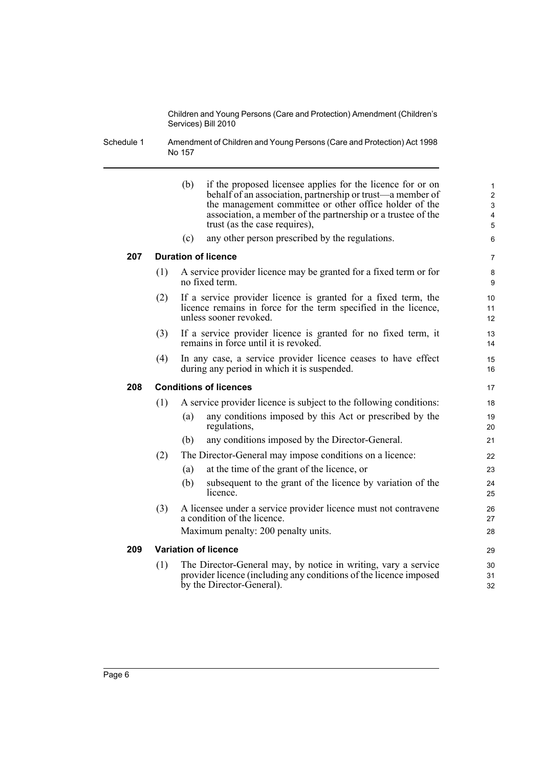Schedule 1 Amendment of Children and Young Persons (Care and Protection) Act 1998 No 157

|     |     | (b)<br>(c) | if the proposed licensee applies for the licence for or on<br>behalf of an association, partnership or trust—a member of<br>the management committee or other office holder of the<br>association, a member of the partnership or a trustee of the<br>trust (as the case requires),<br>any other person prescribed by the regulations. | $\mathbf{1}$<br>$\overline{c}$<br>3<br>4<br>5<br>6 |
|-----|-----|------------|----------------------------------------------------------------------------------------------------------------------------------------------------------------------------------------------------------------------------------------------------------------------------------------------------------------------------------------|----------------------------------------------------|
| 207 |     |            | <b>Duration of licence</b>                                                                                                                                                                                                                                                                                                             | $\overline{7}$                                     |
|     | (1) |            | A service provider licence may be granted for a fixed term or for<br>no fixed term.                                                                                                                                                                                                                                                    | 8<br>9                                             |
|     | (2) |            | If a service provider licence is granted for a fixed term, the<br>licence remains in force for the term specified in the licence,<br>unless sooner revoked.                                                                                                                                                                            | 10<br>11<br>12                                     |
|     | (3) |            | If a service provider licence is granted for no fixed term, it<br>remains in force until it is revoked.                                                                                                                                                                                                                                | 13<br>14                                           |
|     | (4) |            | In any case, a service provider licence ceases to have effect<br>during any period in which it is suspended.                                                                                                                                                                                                                           | 15<br>16                                           |
| 208 |     |            | <b>Conditions of licences</b>                                                                                                                                                                                                                                                                                                          | 17                                                 |
|     | (1) |            | A service provider licence is subject to the following conditions:                                                                                                                                                                                                                                                                     | 18                                                 |
|     |     | (a)        | any conditions imposed by this Act or prescribed by the<br>regulations,                                                                                                                                                                                                                                                                | 19<br>20                                           |
|     |     | (b)        | any conditions imposed by the Director-General.                                                                                                                                                                                                                                                                                        | 21                                                 |
|     | (2) |            | The Director-General may impose conditions on a licence:                                                                                                                                                                                                                                                                               | 22                                                 |
|     |     | (a)        | at the time of the grant of the licence, or                                                                                                                                                                                                                                                                                            | 23                                                 |
|     |     | (b)        | subsequent to the grant of the licence by variation of the<br>licence.                                                                                                                                                                                                                                                                 | 24<br>25                                           |
|     | (3) |            | A licensee under a service provider licence must not contravene<br>a condition of the licence.                                                                                                                                                                                                                                         | 26<br>27                                           |
|     |     |            | Maximum penalty: 200 penalty units.                                                                                                                                                                                                                                                                                                    | 28                                                 |
| 209 |     |            | <b>Variation of licence</b>                                                                                                                                                                                                                                                                                                            | 29                                                 |
|     | (1) |            | The Director-General may, by notice in writing, vary a service<br>provider licence (including any conditions of the licence imposed<br>by the Director-General).                                                                                                                                                                       | 30<br>31<br>32                                     |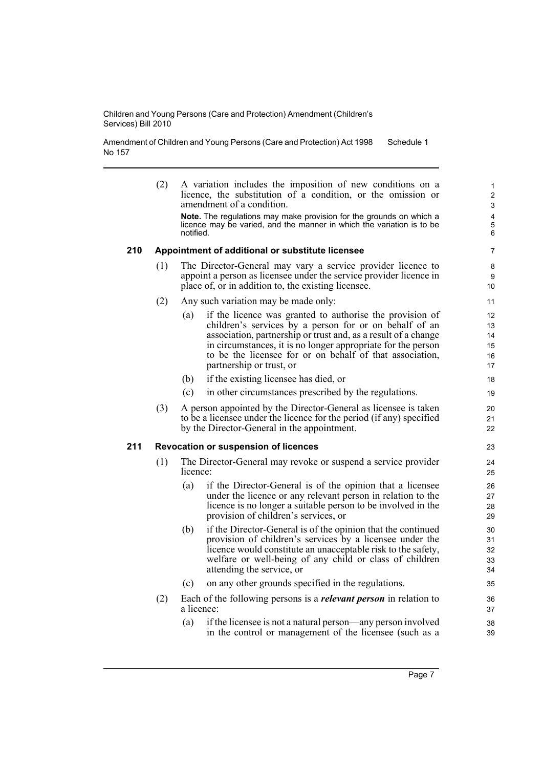Amendment of Children and Young Persons (Care and Protection) Act 1998 No 157 Schedule 1

| (2) |     |                                                                                                                                                                                                                                                                                                                                              | 1<br>2<br>3<br>4<br>5<br>6                                                                                                                                                                                                                                                                                                                                                                                                                                                                                                                                                                                                                                                                                                                                                                                                                                                                                                                                                                                                   |
|-----|-----|----------------------------------------------------------------------------------------------------------------------------------------------------------------------------------------------------------------------------------------------------------------------------------------------------------------------------------------------|------------------------------------------------------------------------------------------------------------------------------------------------------------------------------------------------------------------------------------------------------------------------------------------------------------------------------------------------------------------------------------------------------------------------------------------------------------------------------------------------------------------------------------------------------------------------------------------------------------------------------------------------------------------------------------------------------------------------------------------------------------------------------------------------------------------------------------------------------------------------------------------------------------------------------------------------------------------------------------------------------------------------------|
|     |     |                                                                                                                                                                                                                                                                                                                                              | 7                                                                                                                                                                                                                                                                                                                                                                                                                                                                                                                                                                                                                                                                                                                                                                                                                                                                                                                                                                                                                            |
| (1) |     |                                                                                                                                                                                                                                                                                                                                              | 8<br>9<br>10                                                                                                                                                                                                                                                                                                                                                                                                                                                                                                                                                                                                                                                                                                                                                                                                                                                                                                                                                                                                                 |
| (2) |     |                                                                                                                                                                                                                                                                                                                                              | 11                                                                                                                                                                                                                                                                                                                                                                                                                                                                                                                                                                                                                                                                                                                                                                                                                                                                                                                                                                                                                           |
|     | (a) | if the licence was granted to authorise the provision of<br>children's services by a person for or on behalf of an<br>association, partnership or trust and, as a result of a change<br>in circumstances, it is no longer appropriate for the person<br>to be the licensee for or on behalf of that association,<br>partnership or trust, or | 12<br>13<br>14<br>15<br>16<br>17                                                                                                                                                                                                                                                                                                                                                                                                                                                                                                                                                                                                                                                                                                                                                                                                                                                                                                                                                                                             |
|     | (b) | if the existing licensee has died, or                                                                                                                                                                                                                                                                                                        | 18                                                                                                                                                                                                                                                                                                                                                                                                                                                                                                                                                                                                                                                                                                                                                                                                                                                                                                                                                                                                                           |
|     | (c) | in other circumstances prescribed by the regulations.                                                                                                                                                                                                                                                                                        | 19                                                                                                                                                                                                                                                                                                                                                                                                                                                                                                                                                                                                                                                                                                                                                                                                                                                                                                                                                                                                                           |
| (3) |     |                                                                                                                                                                                                                                                                                                                                              | 20<br>21<br>22                                                                                                                                                                                                                                                                                                                                                                                                                                                                                                                                                                                                                                                                                                                                                                                                                                                                                                                                                                                                               |
|     |     |                                                                                                                                                                                                                                                                                                                                              | 23                                                                                                                                                                                                                                                                                                                                                                                                                                                                                                                                                                                                                                                                                                                                                                                                                                                                                                                                                                                                                           |
| (1) |     |                                                                                                                                                                                                                                                                                                                                              | 24<br>25                                                                                                                                                                                                                                                                                                                                                                                                                                                                                                                                                                                                                                                                                                                                                                                                                                                                                                                                                                                                                     |
|     | (a) | if the Director-General is of the opinion that a licensee<br>under the licence or any relevant person in relation to the<br>licence is no longer a suitable person to be involved in the<br>provision of children's services, or                                                                                                             | 26<br>27<br>28<br>29                                                                                                                                                                                                                                                                                                                                                                                                                                                                                                                                                                                                                                                                                                                                                                                                                                                                                                                                                                                                         |
|     | (b) | if the Director-General is of the opinion that the continued<br>provision of children's services by a licensee under the<br>licence would constitute an unacceptable risk to the safety,<br>welfare or well-being of any child or class of children<br>attending the service, or                                                             | 30<br>31<br>32<br>33<br>34                                                                                                                                                                                                                                                                                                                                                                                                                                                                                                                                                                                                                                                                                                                                                                                                                                                                                                                                                                                                   |
|     | (c) | on any other grounds specified in the regulations.                                                                                                                                                                                                                                                                                           | 35                                                                                                                                                                                                                                                                                                                                                                                                                                                                                                                                                                                                                                                                                                                                                                                                                                                                                                                                                                                                                           |
| (2) |     |                                                                                                                                                                                                                                                                                                                                              | 36<br>37                                                                                                                                                                                                                                                                                                                                                                                                                                                                                                                                                                                                                                                                                                                                                                                                                                                                                                                                                                                                                     |
|     | (a) | if the licensee is not a natural person—any person involved<br>in the control or management of the licensee (such as a                                                                                                                                                                                                                       | 38<br>39                                                                                                                                                                                                                                                                                                                                                                                                                                                                                                                                                                                                                                                                                                                                                                                                                                                                                                                                                                                                                     |
|     |     |                                                                                                                                                                                                                                                                                                                                              | A variation includes the imposition of new conditions on a<br>licence, the substitution of a condition, or the omission or<br>amendment of a condition.<br>Note. The regulations may make provision for the grounds on which a<br>licence may be varied, and the manner in which the variation is to be<br>notified.<br>Appointment of additional or substitute licensee<br>The Director-General may vary a service provider licence to<br>appoint a person as licensee under the service provider licence in<br>place of, or in addition to, the existing licensee.<br>Any such variation may be made only:<br>A person appointed by the Director-General as licensee is taken<br>to be a licensee under the licence for the period (if any) specified<br>by the Director-General in the appointment.<br><b>Revocation or suspension of licences</b><br>The Director-General may revoke or suspend a service provider<br>licence:<br>Each of the following persons is a <i>relevant person</i> in relation to<br>a licence: |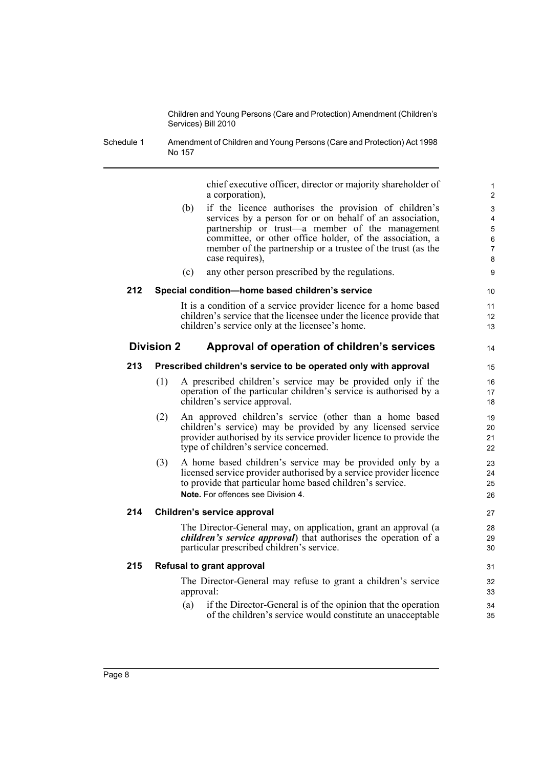Schedule 1 Amendment of Children and Young Persons (Care and Protection) Act 1998 No 157

> chief executive officer, director or majority shareholder of a corporation),

14

| (b) if the licence authorises the provision of children's   |
|-------------------------------------------------------------|
| services by a person for or on behalf of an association,    |
| partnership or trust—a member of the management             |
| committee, or other office holder, of the association, a    |
| member of the partnership or a trustee of the trust (as the |
| case requires),                                             |
|                                                             |

(c) any other person prescribed by the regulations.

#### **212 Special condition—home based children's service**

It is a condition of a service provider licence for a home based children's service that the licensee under the licence provide that children's service only at the licensee's home.

#### **Division 2 Approval of operation of children's services**

#### **213 Prescribed children's service to be operated only with approval**

- (1) A prescribed children's service may be provided only if the operation of the particular children's service is authorised by a children's service approval.
- (2) An approved children's service (other than a home based children's service) may be provided by any licensed service provider authorised by its service provider licence to provide the type of children's service concerned.
- (3) A home based children's service may be provided only by a licensed service provider authorised by a service provider licence to provide that particular home based children's service. **Note.** For offences see Division 4.

#### **214 Children's service approval**

The Director-General may, on application, grant an approval (a *children's service approval*) that authorises the operation of a particular prescribed children's service.

#### **215 Refusal to grant approval**

The Director-General may refuse to grant a children's service approval:

(a) if the Director-General is of the opinion that the operation of the children's service would constitute an unacceptable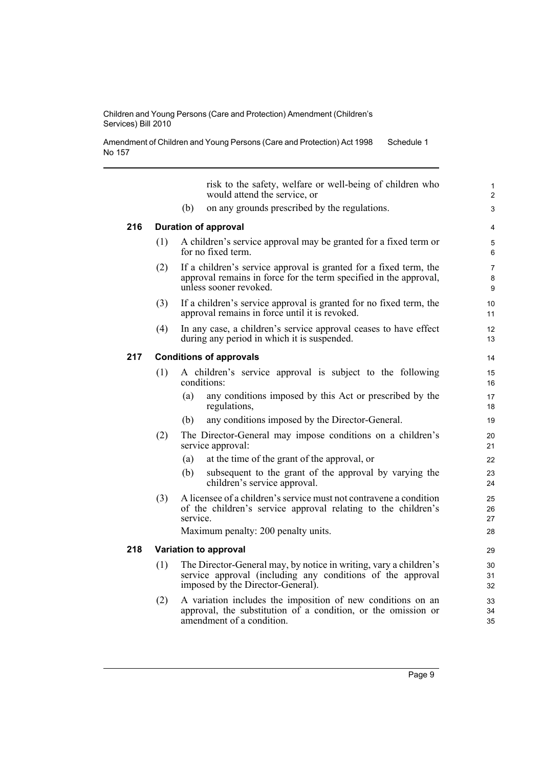Amendment of Children and Young Persons (Care and Protection) Act 1998 No 157 Schedule 1

risk to the safety, welfare or well-being of children who would attend the service, or (b) on any grounds prescribed by the regulations. **216 Duration of approval** (1) A children's service approval may be granted for a fixed term or for no fixed term. (2) If a children's service approval is granted for a fixed term, the approval remains in force for the term specified in the approval, unless sooner revoked. (3) If a children's service approval is granted for no fixed term, the approval remains in force until it is revoked. (4) In any case, a children's service approval ceases to have effect during any period in which it is suspended. **217 Conditions of approvals** (1) A children's service approval is subject to the following conditions: (a) any conditions imposed by this Act or prescribed by the regulations, (b) any conditions imposed by the Director-General. (2) The Director-General may impose conditions on a children's service approval: (a) at the time of the grant of the approval, or (b) subsequent to the grant of the approval by varying the children's service approval. (3) A licensee of a children's service must not contravene a condition of the children's service approval relating to the children's service. Maximum penalty: 200 penalty units. **218 Variation to approval** (1) The Director-General may, by notice in writing, vary a children's service approval (including any conditions of the approval imposed by the Director-General). (2) A variation includes the imposition of new conditions on an approval, the substitution of a condition, or the omission or amendment of a condition. 1 2  $\overline{a}$ 4 5 6 7 8  $\Omega$ 10 11  $12$ 13 14 15 16 17 18 19 20 21 22 23 24 25 26 27 28 29 30 31 32 33 34 35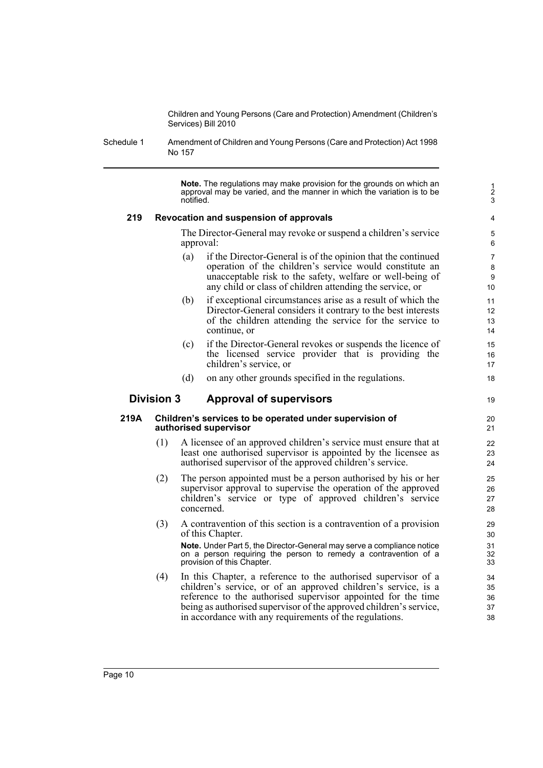Schedule 1 Amendment of Children and Young Persons (Care and Protection) Act 1998 No 157

> **Note.** The regulations may make provision for the grounds on which an approval may be varied, and the manner in which the variation is to be notified.

19

#### **219 Revocation and suspension of approvals**

The Director-General may revoke or suspend a children's service approval:

- (a) if the Director-General is of the opinion that the continued operation of the children's service would constitute an unacceptable risk to the safety, welfare or well-being of any child or class of children attending the service, or
- (b) if exceptional circumstances arise as a result of which the Director-General considers it contrary to the best interests of the children attending the service for the service to continue, or
- (c) if the Director-General revokes or suspends the licence of the licensed service provider that is providing the children's service, or
- (d) on any other grounds specified in the regulations.

#### **Division 3 Approval of supervisors**

#### **219A Children's services to be operated under supervision of authorised supervisor**

- (1) A licensee of an approved children's service must ensure that at least one authorised supervisor is appointed by the licensee as authorised supervisor of the approved children's service.
- (2) The person appointed must be a person authorised by his or her supervisor approval to supervise the operation of the approved children's service or type of approved children's service concerned.
- (3) A contravention of this section is a contravention of a provision of this Chapter.

**Note.** Under Part 5, the Director-General may serve a compliance notice on a person requiring the person to remedy a contravention of a provision of this Chapter.

(4) In this Chapter, a reference to the authorised supervisor of a children's service, or of an approved children's service, is a reference to the authorised supervisor appointed for the time being as authorised supervisor of the approved children's service, in accordance with any requirements of the regulations.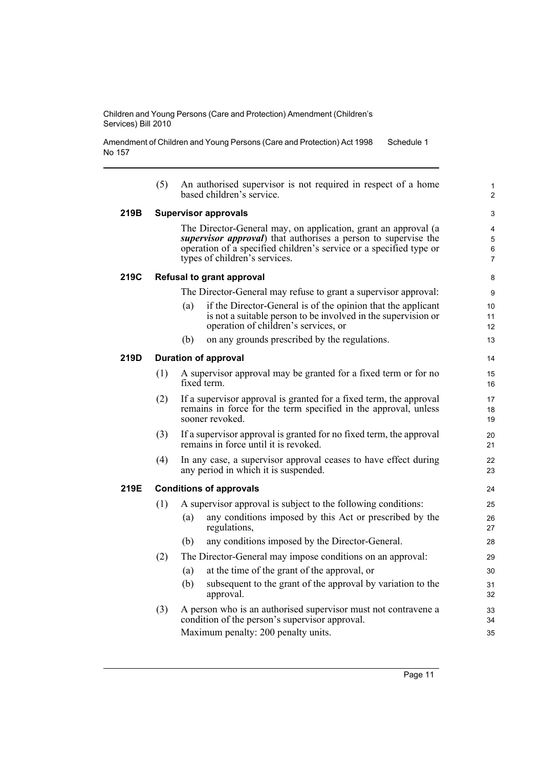Amendment of Children and Young Persons (Care and Protection) Act 1998 No 157 Schedule 1

|      | (5) | An authorised supervisor is not required in respect of a home<br>based children's service.                                                                                                                                                      | $\mathbf{1}$<br>$\overline{2}$ |
|------|-----|-------------------------------------------------------------------------------------------------------------------------------------------------------------------------------------------------------------------------------------------------|--------------------------------|
| 219B |     | <b>Supervisor approvals</b>                                                                                                                                                                                                                     | 3                              |
|      |     | The Director-General may, on application, grant an approval (a<br><i>supervisor approval</i> ) that authorises a person to supervise the<br>operation of a specified children's service or a specified type or<br>types of children's services. | 4<br>5<br>6<br>7               |
| 219C |     | <b>Refusal to grant approval</b>                                                                                                                                                                                                                | 8                              |
|      |     | The Director-General may refuse to grant a supervisor approval:                                                                                                                                                                                 | 9                              |
|      |     | if the Director-General is of the opinion that the applicant<br>(a)<br>is not a suitable person to be involved in the supervision or<br>operation of children's services, or                                                                    | 10<br>11<br>12                 |
|      |     | on any grounds prescribed by the regulations.<br>(b)                                                                                                                                                                                            | 13                             |
| 219D |     | <b>Duration of approval</b>                                                                                                                                                                                                                     | 14                             |
|      | (1) | A supervisor approval may be granted for a fixed term or for no<br>fixed term.                                                                                                                                                                  | 15<br>16                       |
|      | (2) | If a supervisor approval is granted for a fixed term, the approval<br>remains in force for the term specified in the approval, unless<br>sooner revoked.                                                                                        | 17<br>18<br>19                 |
|      | (3) | If a supervisor approval is granted for no fixed term, the approval<br>remains in force until it is revoked.                                                                                                                                    | 20<br>21                       |
|      | (4) | In any case, a supervisor approval ceases to have effect during<br>any period in which it is suspended.                                                                                                                                         | 22<br>23                       |
| 219E |     | <b>Conditions of approvals</b>                                                                                                                                                                                                                  | 24                             |
|      | (1) | A supervisor approval is subject to the following conditions:                                                                                                                                                                                   | 25                             |
|      |     | any conditions imposed by this Act or prescribed by the<br>(a)<br>regulations,                                                                                                                                                                  | 26<br>27                       |
|      |     | any conditions imposed by the Director-General.<br>(b)                                                                                                                                                                                          | 28                             |
|      | (2) | The Director-General may impose conditions on an approval:                                                                                                                                                                                      | 29                             |
|      |     | at the time of the grant of the approval, or<br>(a)                                                                                                                                                                                             | 30                             |
|      |     | (b)<br>subsequent to the grant of the approval by variation to the<br>approval.                                                                                                                                                                 | 31<br>32                       |
|      | (3) | A person who is an authorised supervisor must not contravene a<br>condition of the person's supervisor approval.                                                                                                                                | 33<br>34                       |
|      |     | Maximum penalty: 200 penalty units.                                                                                                                                                                                                             | 35                             |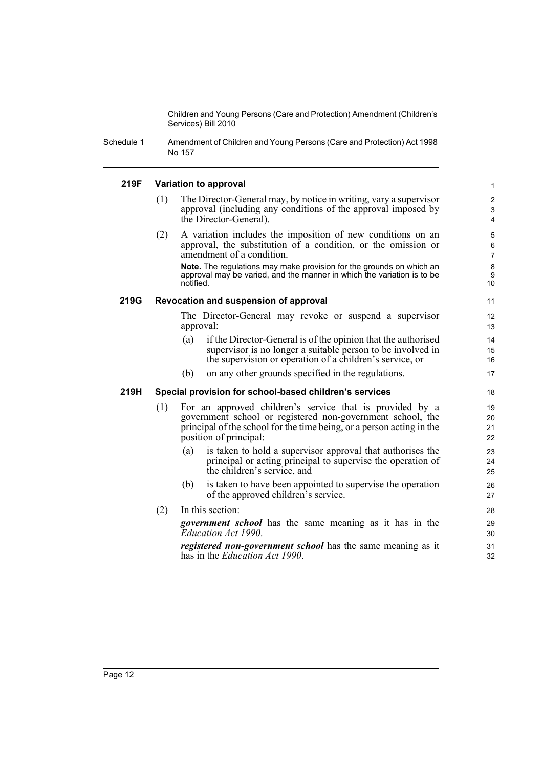Schedule 1 Amendment of Children and Young Persons (Care and Protection) Act 1998 No 157

#### **219F Variation to approval**

- (1) The Director-General may, by notice in writing, vary a supervisor approval (including any conditions of the approval imposed by the Director-General).
- (2) A variation includes the imposition of new conditions on an approval, the substitution of a condition, or the omission or amendment of a condition.

**Note.** The regulations may make provision for the grounds on which an approval may be varied, and the manner in which the variation is to be notified.

#### **219G Revocation and suspension of approval**

The Director-General may revoke or suspend a supervisor approval:

- (a) if the Director-General is of the opinion that the authorised supervisor is no longer a suitable person to be involved in the supervision or operation of a children's service, or
- (b) on any other grounds specified in the regulations.

#### **219H Special provision for school-based children's services**

- (1) For an approved children's service that is provided by a government school or registered non-government school, the principal of the school for the time being, or a person acting in the position of principal:
	- (a) is taken to hold a supervisor approval that authorises the principal or acting principal to supervise the operation of the children's service, and
	- (b) is taken to have been appointed to supervise the operation of the approved children's service.
- (2) In this section: *government school* has the same meaning as it has in the *Education Act 1990*.

*registered non-government school* has the same meaning as it has in the *Education Act 1990*.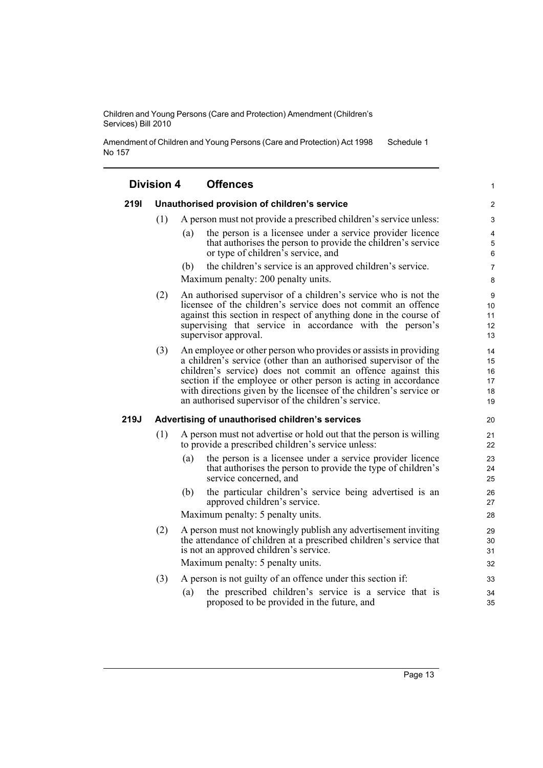Amendment of Children and Young Persons (Care and Protection) Act 1998 No 157 Schedule 1

| <b>Division 4</b> |     | <b>Offences</b>                                                                                                                                                                                                                                                                                                                                                                                     | 1                                |
|-------------------|-----|-----------------------------------------------------------------------------------------------------------------------------------------------------------------------------------------------------------------------------------------------------------------------------------------------------------------------------------------------------------------------------------------------------|----------------------------------|
| 2191              |     | Unauthorised provision of children's service                                                                                                                                                                                                                                                                                                                                                        | $\overline{c}$                   |
|                   | (1) | A person must not provide a prescribed children's service unless:                                                                                                                                                                                                                                                                                                                                   | 3                                |
|                   |     | the person is a licensee under a service provider licence<br>(a)<br>that authorises the person to provide the children's service<br>or type of children's service, and                                                                                                                                                                                                                              | 4<br>5<br>6                      |
|                   |     | the children's service is an approved children's service.<br>(b)<br>Maximum penalty: 200 penalty units.                                                                                                                                                                                                                                                                                             | 7<br>8                           |
|                   | (2) | An authorised supervisor of a children's service who is not the<br>licensee of the children's service does not commit an offence<br>against this section in respect of anything done in the course of<br>supervising that service in accordance with the person's<br>supervisor approval.                                                                                                           | 9<br>10<br>11<br>12<br>13        |
|                   | (3) | An employee or other person who provides or assists in providing<br>a children's service (other than an authorised supervisor of the<br>children's service) does not commit an offence against this<br>section if the employee or other person is acting in accordance<br>with directions given by the licensee of the children's service or<br>an authorised supervisor of the children's service. | 14<br>15<br>16<br>17<br>18<br>19 |
| 219J              |     | Advertising of unauthorised children's services                                                                                                                                                                                                                                                                                                                                                     | 20                               |
|                   | (1) | A person must not advertise or hold out that the person is willing<br>to provide a prescribed children's service unless:                                                                                                                                                                                                                                                                            | 21<br>22                         |
|                   |     | the person is a licensee under a service provider licence<br>(a)<br>that authorises the person to provide the type of children's<br>service concerned, and                                                                                                                                                                                                                                          | 23<br>24<br>25                   |
|                   |     | the particular children's service being advertised is an<br>(b)<br>approved children's service.                                                                                                                                                                                                                                                                                                     | 26<br>27                         |
|                   |     | Maximum penalty: 5 penalty units.                                                                                                                                                                                                                                                                                                                                                                   | 28                               |
|                   | (2) | A person must not knowingly publish any advertisement inviting<br>the attendance of children at a prescribed children's service that<br>is not an approved children's service.<br>Maximum penalty: 5 penalty units.                                                                                                                                                                                 | 29<br>30<br>31<br>32             |
|                   | (3) | A person is not guilty of an offence under this section if:                                                                                                                                                                                                                                                                                                                                         | 33                               |
|                   |     | the prescribed children's service is a service that is<br>(a)                                                                                                                                                                                                                                                                                                                                       | 34                               |
|                   |     | proposed to be provided in the future, and                                                                                                                                                                                                                                                                                                                                                          | 35                               |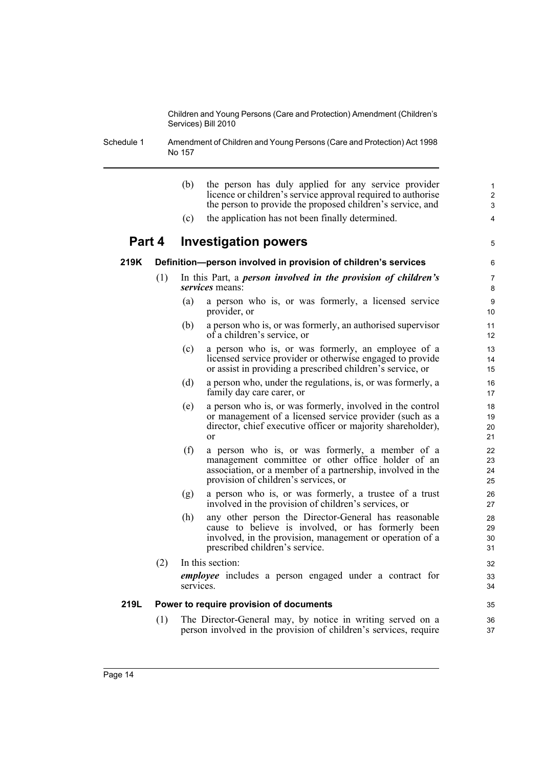Schedule 1 Amendment of Children and Young Persons (Care and Protection) Act 1998 No 157

|        |     | (b)<br>the person has duly applied for any service provider<br>licence or children's service approval required to authorise<br>the person to provide the proposed children's service, and<br>(c)<br>the application has not been finally determined. | $\mathbf{1}$<br>$\overline{2}$<br>$\mathsf 3$<br>4 |
|--------|-----|------------------------------------------------------------------------------------------------------------------------------------------------------------------------------------------------------------------------------------------------------|----------------------------------------------------|
| Part 4 |     | <b>Investigation powers</b>                                                                                                                                                                                                                          | 5                                                  |
| 219K   |     |                                                                                                                                                                                                                                                      |                                                    |
|        |     | Definition-person involved in provision of children's services                                                                                                                                                                                       | 6                                                  |
|        | (1) | In this Part, a <i>person involved in the provision of children's</i><br><i>services</i> means:                                                                                                                                                      | $\overline{7}$<br>8                                |
|        |     | (a)<br>a person who is, or was formerly, a licensed service<br>provider, or                                                                                                                                                                          | 9<br>10                                            |
|        |     | (b)<br>a person who is, or was formerly, an authorised supervisor<br>of a children's service, or                                                                                                                                                     | 11<br>12                                           |
|        |     | a person who is, or was formerly, an employee of a<br>(c)<br>licensed service provider or otherwise engaged to provide<br>or assist in providing a prescribed children's service, or                                                                 | 13<br>14<br>15                                     |
|        |     | (d)<br>a person who, under the regulations, is, or was formerly, a<br>family day care carer, or                                                                                                                                                      | 16<br>17                                           |
|        |     | a person who is, or was formerly, involved in the control<br>(e)<br>or management of a licensed service provider (such as a<br>director, chief executive officer or majority shareholder),<br>$\alpha$ r                                             | 18<br>19<br>20<br>21                               |
|        |     | (f)<br>a person who is, or was formerly, a member of a<br>management committee or other office holder of an<br>association, or a member of a partnership, involved in the<br>provision of children's services, or                                    | 22<br>23<br>24<br>25                               |
|        |     | a person who is, or was formerly, a trustee of a trust<br>(g)<br>involved in the provision of children's services, or                                                                                                                                | 26<br>27                                           |
|        |     | (h)<br>any other person the Director-General has reasonable<br>cause to believe is involved, or has formerly been<br>involved, in the provision, management or operation of a<br>prescribed children's service.                                      | 28<br>29<br>30<br>31                               |
|        | (2) | In this section:                                                                                                                                                                                                                                     | 32                                                 |
|        |     | <i>employee</i> includes a person engaged under a contract for<br>services.                                                                                                                                                                          | 33<br>34                                           |
| 219L   |     | Power to require provision of documents                                                                                                                                                                                                              | 35                                                 |
|        | (1) | The Director-General may, by notice in writing served on a<br>person involved in the provision of children's services, require                                                                                                                       | 36<br>37                                           |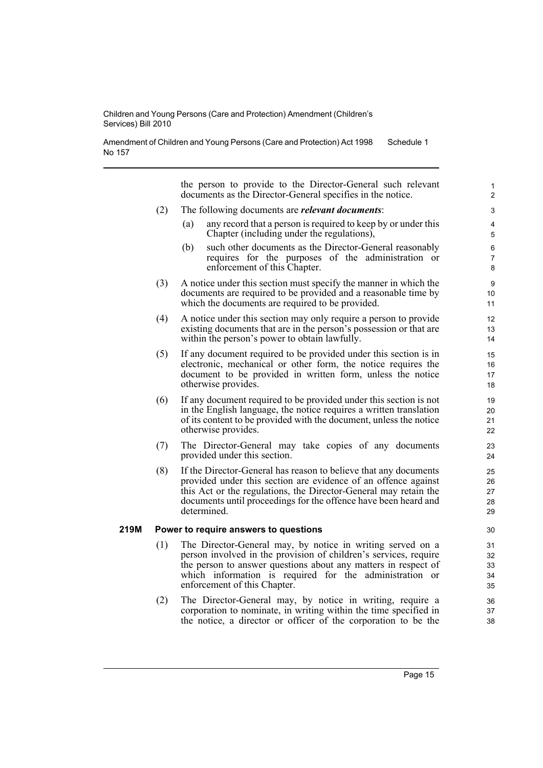Amendment of Children and Young Persons (Care and Protection) Act 1998 No 157 Schedule 1

the person to provide to the Director-General such relevant documents as the Director-General specifies in the notice. (2) The following documents are *relevant documents*: (a) any record that a person is required to keep by or under this Chapter (including under the regulations), (b) such other documents as the Director-General reasonably requires for the purposes of the administration or enforcement of this Chapter. (3) A notice under this section must specify the manner in which the documents are required to be provided and a reasonable time by which the documents are required to be provided. (4) A notice under this section may only require a person to provide existing documents that are in the person's possession or that are within the person's power to obtain lawfully. (5) If any document required to be provided under this section is in electronic, mechanical or other form, the notice requires the document to be provided in written form, unless the notice otherwise provides. (6) If any document required to be provided under this section is not in the English language, the notice requires a written translation of its content to be provided with the document, unless the notice otherwise provides. (7) The Director-General may take copies of any documents provided under this section. (8) If the Director-General has reason to believe that any documents provided under this section are evidence of an offence against this Act or the regulations, the Director-General may retain the documents until proceedings for the offence have been heard and determined. **219M Power to require answers to questions** (1) The Director-General may, by notice in writing served on a person involved in the provision of children's services, require the person to answer questions about any matters in respect of which information is required for the administration or enforcement of this Chapter. (2) The Director-General may, by notice in writing, require a 1  $\overline{2}$ 3 4 5 6 7 8 9 10 11 12 13 14 15 16 17 18 19 20 21 22 23 24 25 26 27 28 29 30 31 32 33 34 35 36

> corporation to nominate, in writing within the time specified in the notice, a director or officer of the corporation to be the

37 38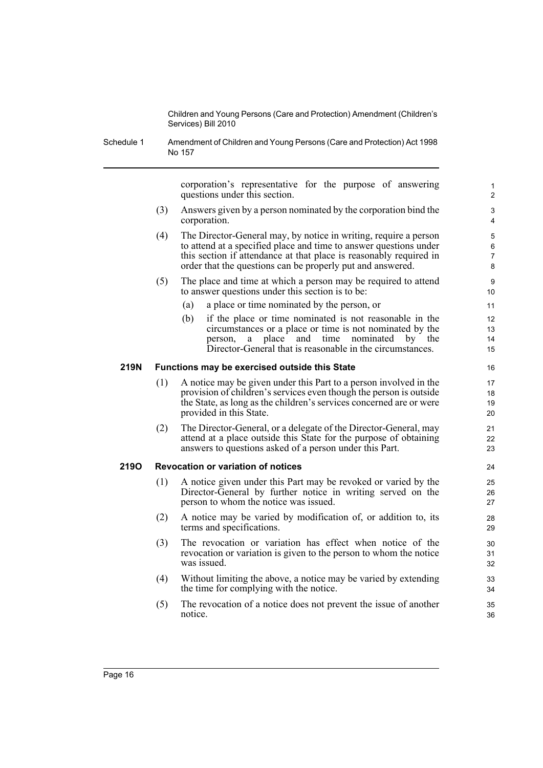Schedule 1 Amendment of Children and Young Persons (Care and Protection) Act 1998 No 157

> corporation's representative for the purpose of answering questions under this section.

- (3) Answers given by a person nominated by the corporation bind the corporation.
- (4) The Director-General may, by notice in writing, require a person to attend at a specified place and time to answer questions under this section if attendance at that place is reasonably required in order that the questions can be properly put and answered.
- (5) The place and time at which a person may be required to attend to answer questions under this section is to be:
	- (a) a place or time nominated by the person, or
	- (b) if the place or time nominated is not reasonable in the circumstances or a place or time is not nominated by the person, a place and time nominated by the Director-General that is reasonable in the circumstances.

#### **219N Functions may be exercised outside this State**

- (1) A notice may be given under this Part to a person involved in the provision of children's services even though the person is outside the State, as long as the children's services concerned are or were provided in this State.
- (2) The Director-General, or a delegate of the Director-General, may attend at a place outside this State for the purpose of obtaining answers to questions asked of a person under this Part.

#### **219O Revocation or variation of notices**

- (1) A notice given under this Part may be revoked or varied by the Director-General by further notice in writing served on the person to whom the notice was issued.
- (2) A notice may be varied by modification of, or addition to, its terms and specifications.
- (3) The revocation or variation has effect when notice of the revocation or variation is given to the person to whom the notice was issued.
- (4) Without limiting the above, a notice may be varied by extending the time for complying with the notice.
- (5) The revocation of a notice does not prevent the issue of another notice.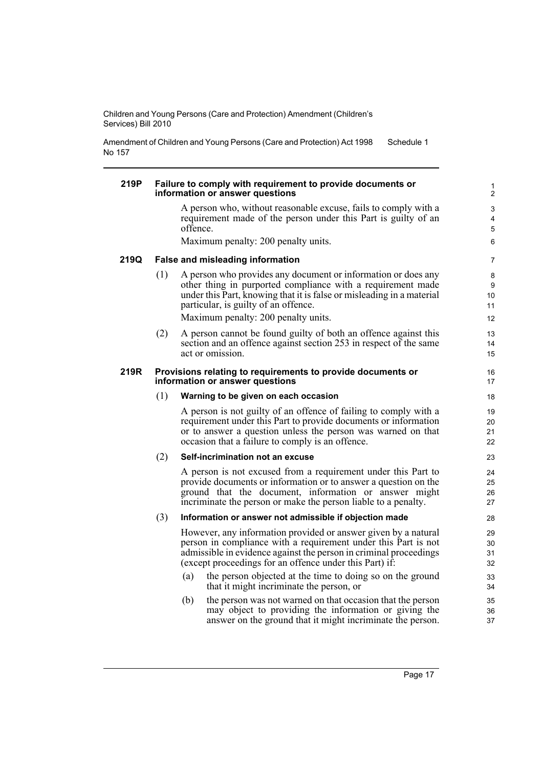Amendment of Children and Young Persons (Care and Protection) Act 1998 No 157 Schedule 1

#### **219P Failure to comply with requirement to provide documents or information or answer questions** A person who, without reasonable excuse, fails to comply with a requirement made of the person under this Part is guilty of an offence. Maximum penalty: 200 penalty units. **219Q False and misleading information** (1) A person who provides any document or information or does any other thing in purported compliance with a requirement made under this Part, knowing that it is false or misleading in a material particular, is guilty of an offence. Maximum penalty: 200 penalty units. (2) A person cannot be found guilty of both an offence against this section and an offence against section 253 in respect of the same act or omission. **219R Provisions relating to requirements to provide documents or information or answer questions** (1) **Warning to be given on each occasion** A person is not guilty of an offence of failing to comply with a requirement under this Part to provide documents or information or to answer a question unless the person was warned on that occasion that a failure to comply is an offence. (2) **Self-incrimination not an excuse** A person is not excused from a requirement under this Part to provide documents or information or to answer a question on the ground that the document, information or answer might incriminate the person or make the person liable to a penalty. (3) **Information or answer not admissible if objection made** However, any information provided or answer given by a natural person in compliance with a requirement under this Part is not admissible in evidence against the person in criminal proceedings (except proceedings for an offence under this Part) if: (a) the person objected at the time to doing so on the ground that it might incriminate the person, or (b) the person was not warned on that occasion that the person may object to providing the information or giving the 2  $\overline{a}$ 4 5 6 7 8 **9** 10 11 12 13 14 15 16 17 18 19 20 21 22 23  $24$ 25 26 27 28 29 30 31 32 33 34 35 36

answer on the ground that it might incriminate the person.

37

1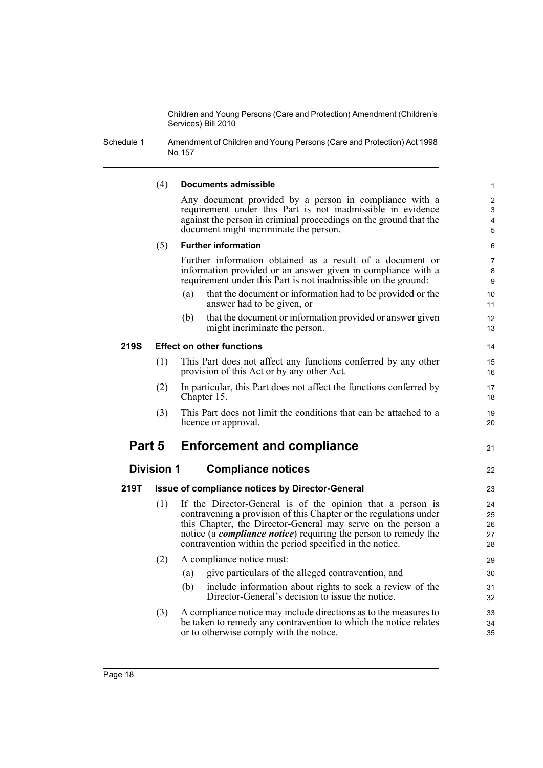Schedule 1 Amendment of Children and Young Persons (Care and Protection) Act 1998 No 157

#### (4) **Documents admissible**

Any document provided by a person in compliance with a requirement under this Part is not inadmissible in evidence against the person in criminal proceedings on the ground that the document might incriminate the person.

21

#### (5) **Further information**

Further information obtained as a result of a document or information provided or an answer given in compliance with a requirement under this Part is not inadmissible on the ground:

- (a) that the document or information had to be provided or the answer had to be given, or
- (b) that the document or information provided or answer given might incriminate the person.

#### **219S Effect on other functions**

- (1) This Part does not affect any functions conferred by any other provision of this Act or by any other Act.
- (2) In particular, this Part does not affect the functions conferred by Chapter 15.
- (3) This Part does not limit the conditions that can be attached to a licence or approval.

## **Part 5 Enforcement and compliance**

### **Division 1 Compliance notices**

- **219T Issue of compliance notices by Director-General**
	- (1) If the Director-General is of the opinion that a person is contravening a provision of this Chapter or the regulations under this Chapter, the Director-General may serve on the person a notice (a *compliance notice*) requiring the person to remedy the contravention within the period specified in the notice.
	- (2) A compliance notice must: (a) give particulars of the alleged contravention, and (b) include information about rights to seek a review of the Director-General's decision to issue the notice. (3) A compliance notice may include directions as to the measures to
	- be taken to remedy any contravention to which the notice relates or to otherwise comply with the notice.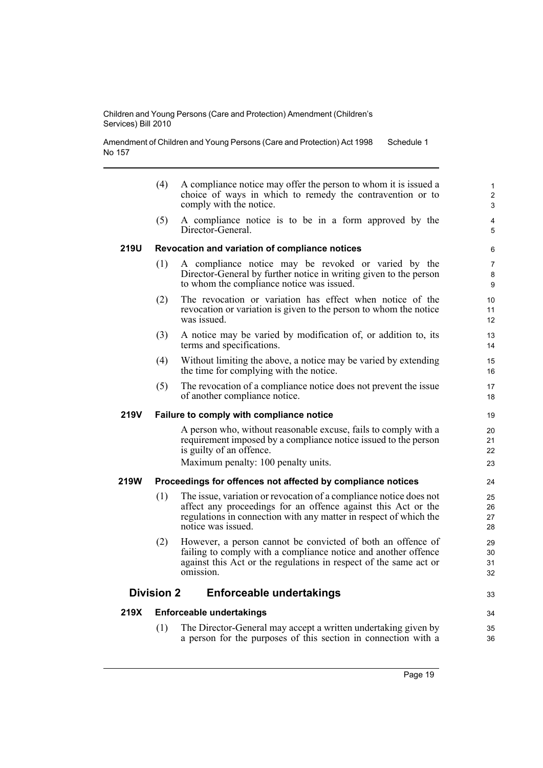Amendment of Children and Young Persons (Care and Protection) Act 1998 No 157 Schedule 1

|             | (4)               | A compliance notice may offer the person to whom it is issued a<br>choice of ways in which to remedy the contravention or to<br>comply with the notice.                                                                        | $\mathbf{1}$<br>2<br>3   |
|-------------|-------------------|--------------------------------------------------------------------------------------------------------------------------------------------------------------------------------------------------------------------------------|--------------------------|
|             | (5)               | A compliance notice is to be in a form approved by the<br>Director-General.                                                                                                                                                    | 4<br>5                   |
| <b>219U</b> |                   | Revocation and variation of compliance notices                                                                                                                                                                                 | 6                        |
|             | (1)               | A compliance notice may be revoked or varied by the<br>Director-General by further notice in writing given to the person<br>to whom the compliance notice was issued.                                                          | $\overline{7}$<br>8<br>9 |
|             | (2)               | The revocation or variation has effect when notice of the<br>revocation or variation is given to the person to whom the notice<br>was issued.                                                                                  | 10<br>11<br>12           |
|             | (3)               | A notice may be varied by modification of, or addition to, its<br>terms and specifications.                                                                                                                                    | 13<br>14                 |
|             | (4)               | Without limiting the above, a notice may be varied by extending<br>the time for complying with the notice.                                                                                                                     | 15<br>16                 |
|             | (5)               | The revocation of a compliance notice does not prevent the issue.<br>of another compliance notice.                                                                                                                             | 17<br>18                 |
| 219V        |                   | Failure to comply with compliance notice                                                                                                                                                                                       | 19                       |
|             |                   | A person who, without reasonable excuse, fails to comply with a<br>requirement imposed by a compliance notice issued to the person<br>is guilty of an offence.<br>Maximum penalty: 100 penalty units.                          | 20<br>21<br>22<br>23     |
| 219W        |                   | Proceedings for offences not affected by compliance notices                                                                                                                                                                    | 24                       |
|             | (1)               | The issue, variation or revocation of a compliance notice does not<br>affect any proceedings for an offence against this Act or the<br>regulations in connection with any matter in respect of which the<br>notice was issued. | 25<br>26<br>27<br>28     |
|             | (2)               | However, a person cannot be convicted of both an offence of<br>failing to comply with a compliance notice and another offence<br>against this Act or the regulations in respect of the same act or<br>omission.                | 29<br>30<br>31<br>32     |
|             | <b>Division 2</b> | <b>Enforceable undertakings</b>                                                                                                                                                                                                | 33                       |
| 219X        |                   | <b>Enforceable undertakings</b>                                                                                                                                                                                                | 34                       |
|             | (1)               | The Director-General may accept a written undertaking given by<br>a person for the purposes of this section in connection with a                                                                                               | 35<br>36                 |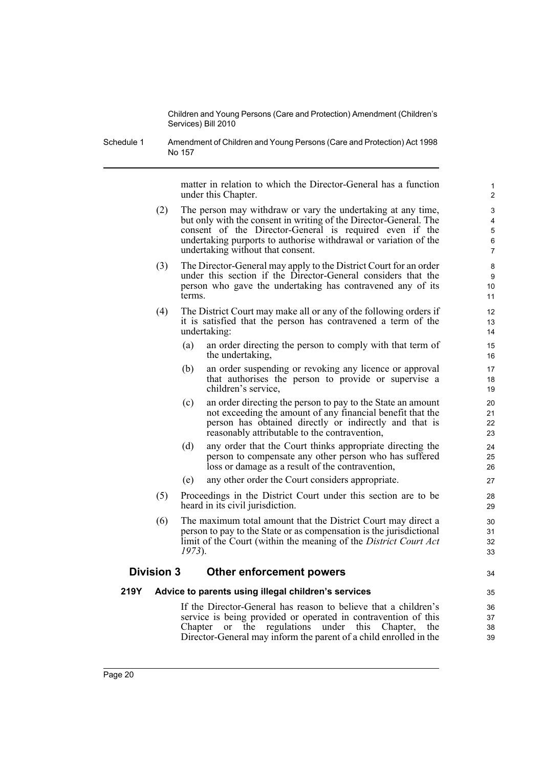Schedule 1 Amendment of Children and Young Persons (Care and Protection) Act 1998 No 157

> matter in relation to which the Director-General has a function under this Chapter.

34

- (2) The person may withdraw or vary the undertaking at any time, but only with the consent in writing of the Director-General. The consent of the Director-General is required even if the undertaking purports to authorise withdrawal or variation of the undertaking without that consent.
- (3) The Director-General may apply to the District Court for an order under this section if the Director-General considers that the person who gave the undertaking has contravened any of its terms.
- (4) The District Court may make all or any of the following orders if it is satisfied that the person has contravened a term of the undertaking:
	- (a) an order directing the person to comply with that term of the undertaking,
	- (b) an order suspending or revoking any licence or approval that authorises the person to provide or supervise a children's service,
	- (c) an order directing the person to pay to the State an amount not exceeding the amount of any financial benefit that the person has obtained directly or indirectly and that is reasonably attributable to the contravention,
	- (d) any order that the Court thinks appropriate directing the person to compensate any other person who has suffered loss or damage as a result of the contravention,
	- (e) any other order the Court considers appropriate.
- (5) Proceedings in the District Court under this section are to be heard in its civil jurisdiction.
- (6) The maximum total amount that the District Court may direct a person to pay to the State or as compensation is the jurisdictional limit of the Court (within the meaning of the *District Court Act 1973*).

#### **Division 3 Other enforcement powers**

#### **219Y Advice to parents using illegal children's services**

If the Director-General has reason to believe that a children's service is being provided or operated in contravention of this Chapter or the regulations under this Chapter, the Director-General may inform the parent of a child enrolled in the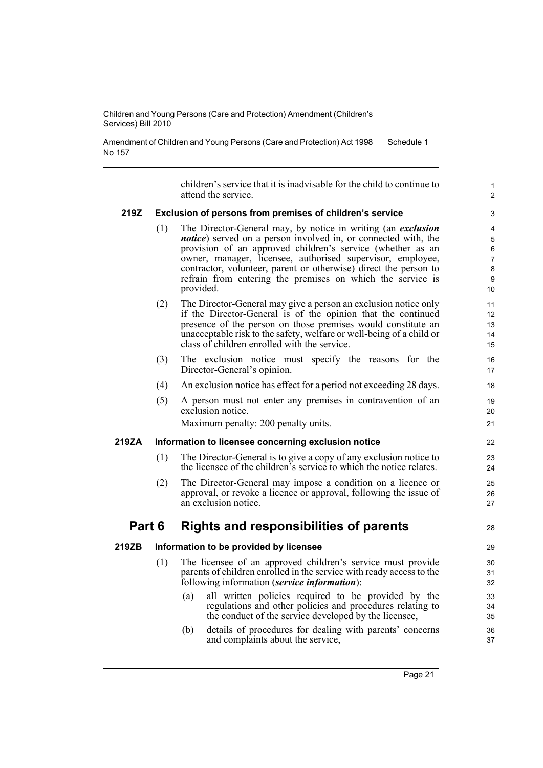Amendment of Children and Young Persons (Care and Protection) Act 1998 No 157 Schedule 1

> children's service that it is inadvisable for the child to continue to attend the service.

#### **219Z Exclusion of persons from premises of children's service**

- (1) The Director-General may, by notice in writing (an *exclusion notice*) served on a person involved in, or connected with, the provision of an approved children's service (whether as an owner, manager, licensee, authorised supervisor, employee, contractor, volunteer, parent or otherwise) direct the person to refrain from entering the premises on which the service is provided.
- (2) The Director-General may give a person an exclusion notice only if the Director-General is of the opinion that the continued presence of the person on those premises would constitute an unacceptable risk to the safety, welfare or well-being of a child or class of children enrolled with the service.
- (3) The exclusion notice must specify the reasons for the Director-General's opinion.
- (4) An exclusion notice has effect for a period not exceeding 28 days.
- (5) A person must not enter any premises in contravention of an exclusion notice.

Maximum penalty: 200 penalty units.

#### **219ZA Information to licensee concerning exclusion notice**

- (1) The Director-General is to give a copy of any exclusion notice to the licensee of the children's service to which the notice relates.
- (2) The Director-General may impose a condition on a licence or approval, or revoke a licence or approval, following the issue of an exclusion notice.

## **Part 6 Rights and responsibilities of parents**

#### **219ZB Information to be provided by licensee**

- (1) The licensee of an approved children's service must provide parents of children enrolled in the service with ready access to the following information (*service information*):
	- (a) all written policies required to be provided by the regulations and other policies and procedures relating to the conduct of the service developed by the licensee,
	- (b) details of procedures for dealing with parents' concerns and complaints about the service,

1  $\overline{2}$ 

28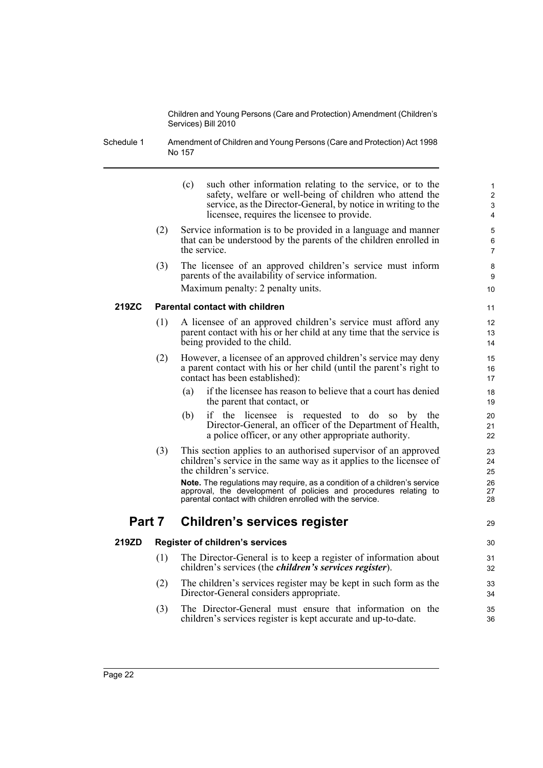Schedule 1 Amendment of Children and Young Persons (Care and Protection) Act 1998 No 157

|        |     | (c)<br>such other information relating to the service, or to the<br>safety, welfare or well-being of children who attend the<br>service, as the Director-General, by notice in writing to the<br>licensee, requires the licensee to provide. | 1<br>$\mathbf 2$<br>3<br>4 |
|--------|-----|----------------------------------------------------------------------------------------------------------------------------------------------------------------------------------------------------------------------------------------------|----------------------------|
|        | (2) | Service information is to be provided in a language and manner<br>that can be understood by the parents of the children enrolled in<br>the service.                                                                                          | 5<br>6<br>$\overline{7}$   |
|        | (3) | The licensee of an approved children's service must inform<br>parents of the availability of service information.<br>Maximum penalty: 2 penalty units.                                                                                       | 8<br>9<br>10               |
| 219ZC  |     | <b>Parental contact with children</b>                                                                                                                                                                                                        | 11                         |
|        | (1) | A licensee of an approved children's service must afford any<br>parent contact with his or her child at any time that the service is<br>being provided to the child.                                                                         | 12<br>13<br>14             |
|        | (2) | However, a licensee of an approved children's service may deny<br>a parent contact with his or her child (until the parent's right to<br>contact has been established):                                                                      | 15<br>16<br>17             |
|        |     | if the licensee has reason to believe that a court has denied<br>(a)<br>the parent that contact, or                                                                                                                                          | 18<br>19                   |
|        |     | if the licensee is requested to do so by the<br>(b)<br>Director-General, an officer of the Department of Health,<br>a police officer, or any other appropriate authority.                                                                    | 20<br>21<br>22             |
|        | (3) | This section applies to an authorised supervisor of an approved<br>children's service in the same way as it applies to the licensee of<br>the children's service.                                                                            | 23<br>24<br>25             |
|        |     | Note. The regulations may require, as a condition of a children's service<br>approval, the development of policies and procedures relating to<br>parental contact with children enrolled with the service.                                   | 26<br>27<br>28             |
| Part 7 |     | <b>Children's services register</b>                                                                                                                                                                                                          | 29                         |
| 219ZD  |     | <b>Register of children's services</b>                                                                                                                                                                                                       | 30                         |
|        | (1) | The Director-General is to keep a register of information about<br>children's services (the <i>children's services register</i> ).                                                                                                           | 31<br>32                   |
|        | (2) | The children's services register may be kept in such form as the<br>Director-General considers appropriate.                                                                                                                                  | 33<br>34                   |
|        | (3) | The Director-General must ensure that information on the<br>children's services register is kept accurate and up-to-date.                                                                                                                    | 35<br>36                   |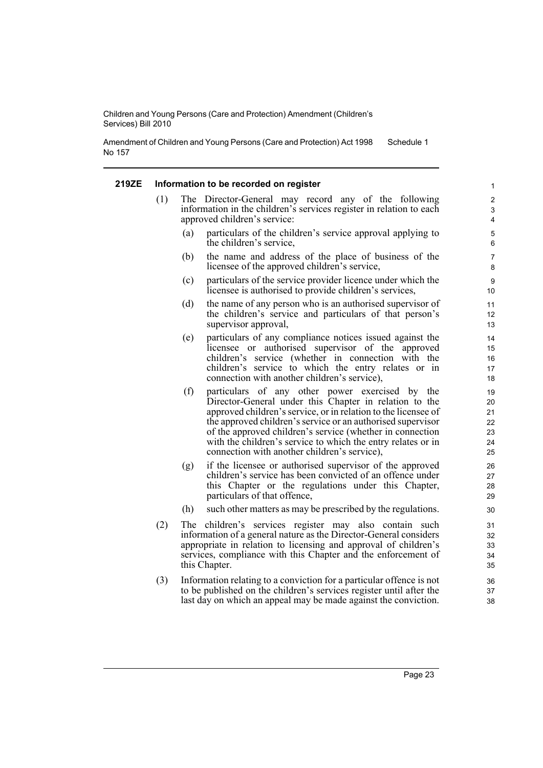Amendment of Children and Young Persons (Care and Protection) Act 1998 No 157 Schedule 1

#### **219ZE Information to be recorded on register**

- (1) The Director-General may record any of the following information in the children's services register in relation to each approved children's service:
	- (a) particulars of the children's service approval applying to the children's service,
	- (b) the name and address of the place of business of the licensee of the approved children's service,
	- (c) particulars of the service provider licence under which the licensee is authorised to provide children's services,
	- (d) the name of any person who is an authorised supervisor of the children's service and particulars of that person's supervisor approval,
	- (e) particulars of any compliance notices issued against the licensee or authorised supervisor of the approved children's service (whether in connection with the children's service to which the entry relates or in connection with another children's service),
	- (f) particulars of any other power exercised by the Director-General under this Chapter in relation to the approved children's service, or in relation to the licensee of the approved children's service or an authorised supervisor of the approved children's service (whether in connection with the children's service to which the entry relates or in connection with another children's service),
	- (g) if the licensee or authorised supervisor of the approved children's service has been convicted of an offence under this Chapter or the regulations under this Chapter, particulars of that offence,
	- (h) such other matters as may be prescribed by the regulations.
- (2) The children's services register may also contain such information of a general nature as the Director-General considers appropriate in relation to licensing and approval of children's services, compliance with this Chapter and the enforcement of this Chapter.
- (3) Information relating to a conviction for a particular offence is not to be published on the children's services register until after the last day on which an appeal may be made against the conviction.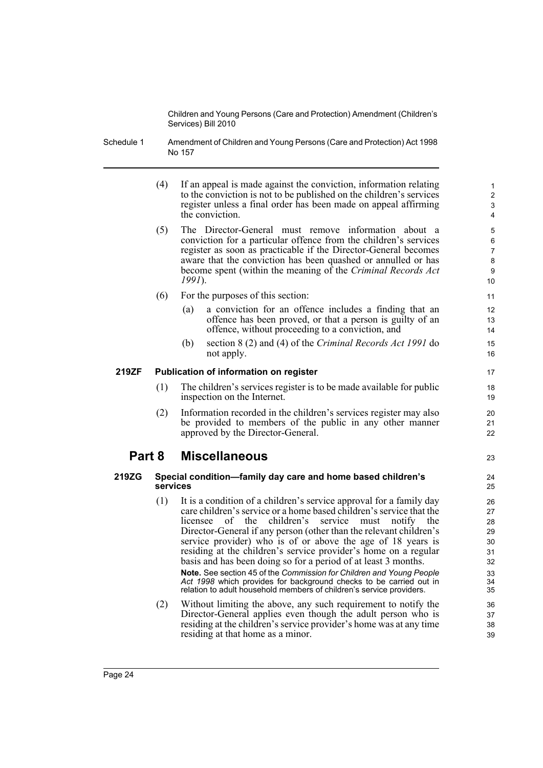- Schedule 1 Amendment of Children and Young Persons (Care and Protection) Act 1998 No 157
	- (4) If an appeal is made against the conviction, information relating to the conviction is not to be published on the children's services register unless a final order has been made on appeal affirming the conviction.

23

- (5) The Director-General must remove information about a conviction for a particular offence from the children's services register as soon as practicable if the Director-General becomes aware that the conviction has been quashed or annulled or has become spent (within the meaning of the *Criminal Records Act 1991*).
- (6) For the purposes of this section:
	- (a) a conviction for an offence includes a finding that an offence has been proved, or that a person is guilty of an offence, without proceeding to a conviction, and
	- (b) section 8 (2) and (4) of the *Criminal Records Act 1991* do not apply.

#### **219ZF Publication of information on register**

- (1) The children's services register is to be made available for public inspection on the Internet.
- (2) Information recorded in the children's services register may also be provided to members of the public in any other manner approved by the Director-General.

# **Part 8 Miscellaneous**

#### **219ZG Special condition—family day care and home based children's services**

residing at that home as a minor.

(1) It is a condition of a children's service approval for a family day care children's service or a home based children's service that the licensee of the children's service must notify the Director-General if any person (other than the relevant children's service provider) who is of or above the age of 18 years is residing at the children's service provider's home on a regular basis and has been doing so for a period of at least 3 months. **Note.** See section 45 of the *Commission for Children and Young People Act 1998* which provides for background checks to be carried out in

relation to adult household members of children's service providers. (2) Without limiting the above, any such requirement to notify the Director-General applies even though the adult person who is

residing at the children's service provider's home was at any time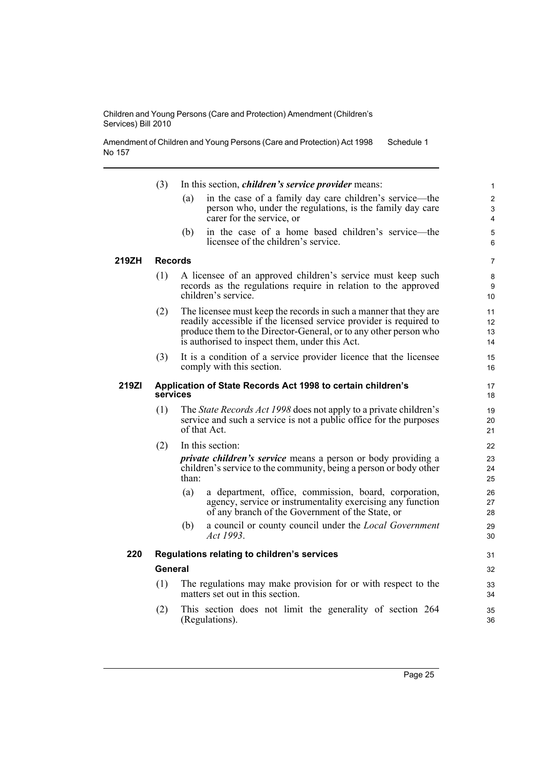Amendment of Children and Young Persons (Care and Protection) Act 1998 No 157 Schedule 1

|       | (3)            | In this section, <i>children's service provider</i> means:                                                                                                                                                                                                    | $\mathbf{1}$             |
|-------|----------------|---------------------------------------------------------------------------------------------------------------------------------------------------------------------------------------------------------------------------------------------------------------|--------------------------|
|       |                | in the case of a family day care children's service—the<br>(a)<br>person who, under the regulations, is the family day care<br>carer for the service, or                                                                                                      | $\overline{2}$<br>3<br>4 |
|       |                | in the case of a home based children's service—the<br>(b)<br>licensee of the children's service.                                                                                                                                                              | 5<br>6                   |
| 219ZH | <b>Records</b> |                                                                                                                                                                                                                                                               | $\overline{7}$           |
|       | (1)            | A licensee of an approved children's service must keep such<br>records as the regulations require in relation to the approved<br>children's service.                                                                                                          | 8<br>9<br>10             |
|       | (2)            | The licensee must keep the records in such a manner that they are<br>readily accessible if the licensed service provider is required to<br>produce them to the Director-General, or to any other person who<br>is authorised to inspect them, under this Act. | 11<br>12<br>13<br>14     |
|       | (3)            | It is a condition of a service provider licence that the licensee<br>comply with this section.                                                                                                                                                                | 15<br>16                 |
| 219ZI |                | Application of State Records Act 1998 to certain children's<br>services                                                                                                                                                                                       | 17<br>18                 |
|       | (1)            | The State Records Act 1998 does not apply to a private children's<br>service and such a service is not a public office for the purposes<br>of that Act.                                                                                                       | 19<br>20<br>21           |
|       | (2)            | In this section:                                                                                                                                                                                                                                              | 22                       |
|       |                | <i>private children's service</i> means a person or body providing a<br>children's service to the community, being a person or body other<br>than:                                                                                                            | 23<br>24<br>25           |
|       |                | (a)<br>a department, office, commission, board, corporation,<br>agency, service or instrumentality exercising any function<br>of any branch of the Government of the State, or                                                                                | 26<br>27<br>28           |
|       |                | a council or county council under the <i>Local Government</i><br>(b)<br>Act 1993.                                                                                                                                                                             | 29<br>30                 |
| 220   |                | Regulations relating to children's services                                                                                                                                                                                                                   | 31                       |
|       | General        |                                                                                                                                                                                                                                                               | 32                       |
|       | (1)            | The regulations may make provision for or with respect to the<br>matters set out in this section.                                                                                                                                                             | 33<br>34                 |
|       | (2)            | This section does not limit the generality of section 264<br>(Regulations).                                                                                                                                                                                   | 35<br>36                 |
|       |                |                                                                                                                                                                                                                                                               |                          |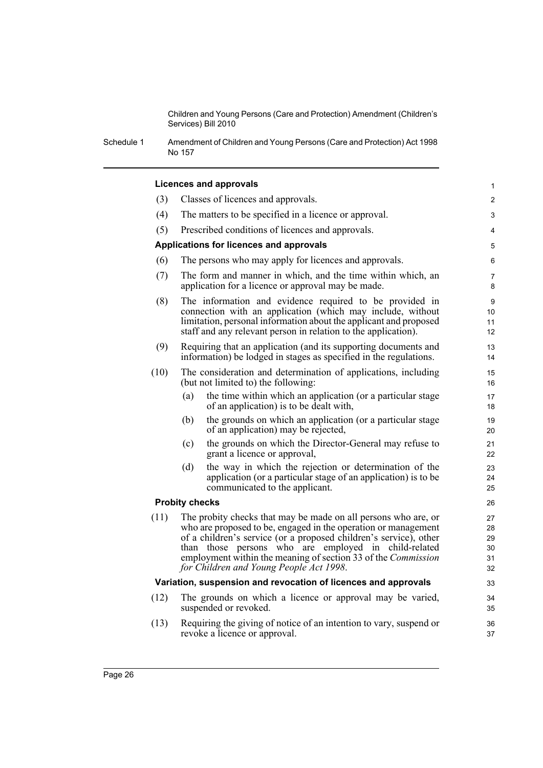1

Schedule 1 Amendment of Children and Young Persons (Care and Protection) Act 1998 No 157

#### **Licences and approvals**

| (3)  | Classes of licences and approvals.                                                                                                                                                                                                                                                                                                                                               |                |  |  |  |
|------|----------------------------------------------------------------------------------------------------------------------------------------------------------------------------------------------------------------------------------------------------------------------------------------------------------------------------------------------------------------------------------|----------------|--|--|--|
| (4)  | The matters to be specified in a licence or approval.                                                                                                                                                                                                                                                                                                                            |                |  |  |  |
| (5)  | Prescribed conditions of licences and approvals.                                                                                                                                                                                                                                                                                                                                 |                |  |  |  |
|      | Applications for licences and approvals                                                                                                                                                                                                                                                                                                                                          | 5              |  |  |  |
| (6)  | The persons who may apply for licences and approvals.                                                                                                                                                                                                                                                                                                                            | 6              |  |  |  |
| (7)  | The form and manner in which, and the time within which, an<br>$\overline{7}$<br>application for a licence or approval may be made.<br>8                                                                                                                                                                                                                                         |                |  |  |  |
| (8)  | The information and evidence required to be provided in<br>connection with an application (which may include, without<br>limitation, personal information about the applicant and proposed<br>staff and any relevant person in relation to the application).                                                                                                                     |                |  |  |  |
| (9)  | Requiring that an application (and its supporting documents and<br>13<br>information) be lodged in stages as specified in the regulations.<br>14                                                                                                                                                                                                                                 |                |  |  |  |
| (10) | The consideration and determination of applications, including<br>(but not limited to) the following:                                                                                                                                                                                                                                                                            |                |  |  |  |
|      | the time within which an application (or a particular stage<br>(a)<br>of an application) is to be dealt with.                                                                                                                                                                                                                                                                    | 17<br>18       |  |  |  |
|      | the grounds on which an application (or a particular stage<br>(b)<br>of an application) may be rejected,                                                                                                                                                                                                                                                                         | 19<br>20       |  |  |  |
|      | the grounds on which the Director-General may refuse to<br>(c)<br>grant a licence or approval,                                                                                                                                                                                                                                                                                   | 21<br>22       |  |  |  |
|      | the way in which the rejection or determination of the<br>(d)<br>application (or a particular stage of an application) is to be<br>communicated to the applicant.                                                                                                                                                                                                                | 23<br>24<br>25 |  |  |  |
|      | <b>Probity checks</b>                                                                                                                                                                                                                                                                                                                                                            | 26             |  |  |  |
| (11) | The probity checks that may be made on all persons who are, or<br>who are proposed to be, engaged in the operation or management<br>of a children's service (or a proposed children's service), other<br>than those persons who are employed in child-related<br>employment within the meaning of section 33 of the <i>Commission</i><br>for Children and Young People Act 1998. |                |  |  |  |
|      | Variation, suspension and revocation of licences and approvals                                                                                                                                                                                                                                                                                                                   | 33             |  |  |  |
| (12) | The grounds on which a licence or approval may be varied,<br>suspended or revoked.                                                                                                                                                                                                                                                                                               |                |  |  |  |
| (13) | Requiring the giving of notice of an intention to vary, suspend or<br>revoke a licence or approval.                                                                                                                                                                                                                                                                              | 36<br>37       |  |  |  |
|      |                                                                                                                                                                                                                                                                                                                                                                                  |                |  |  |  |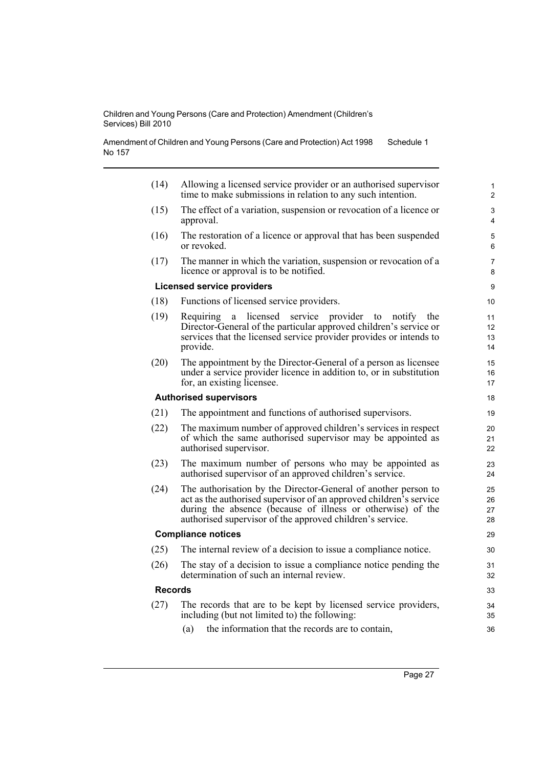Amendment of Children and Young Persons (Care and Protection) Act 1998 No 157 Schedule 1

| Allowing a licensed service provider or an authorised supervisor<br>time to make submissions in relation to any such intention.<br>The effect of a variation, suspension or revocation of a licence or<br>The restoration of a licence or approval that has been suspended<br>The manner in which the variation, suspension or revocation of a<br>provider to<br>notify<br>the<br>Director-General of the particular approved children's service or<br>services that the licensed service provider provides or intends to<br>The appointment by the Director-General of a person as licensee<br>under a service provider licence in addition to, or in substitution<br>The appointment and functions of authorised supervisors. | 1<br>$\overline{2}$<br>3<br>4<br>5<br>6<br>7<br>8<br>9<br>10<br>11<br>12<br>13<br>14<br>15<br>16<br>17<br>18<br>19                                                                                                                                                                                                                                                     |
|---------------------------------------------------------------------------------------------------------------------------------------------------------------------------------------------------------------------------------------------------------------------------------------------------------------------------------------------------------------------------------------------------------------------------------------------------------------------------------------------------------------------------------------------------------------------------------------------------------------------------------------------------------------------------------------------------------------------------------|------------------------------------------------------------------------------------------------------------------------------------------------------------------------------------------------------------------------------------------------------------------------------------------------------------------------------------------------------------------------|
|                                                                                                                                                                                                                                                                                                                                                                                                                                                                                                                                                                                                                                                                                                                                 |                                                                                                                                                                                                                                                                                                                                                                        |
|                                                                                                                                                                                                                                                                                                                                                                                                                                                                                                                                                                                                                                                                                                                                 |                                                                                                                                                                                                                                                                                                                                                                        |
|                                                                                                                                                                                                                                                                                                                                                                                                                                                                                                                                                                                                                                                                                                                                 |                                                                                                                                                                                                                                                                                                                                                                        |
|                                                                                                                                                                                                                                                                                                                                                                                                                                                                                                                                                                                                                                                                                                                                 |                                                                                                                                                                                                                                                                                                                                                                        |
|                                                                                                                                                                                                                                                                                                                                                                                                                                                                                                                                                                                                                                                                                                                                 |                                                                                                                                                                                                                                                                                                                                                                        |
|                                                                                                                                                                                                                                                                                                                                                                                                                                                                                                                                                                                                                                                                                                                                 |                                                                                                                                                                                                                                                                                                                                                                        |
|                                                                                                                                                                                                                                                                                                                                                                                                                                                                                                                                                                                                                                                                                                                                 |                                                                                                                                                                                                                                                                                                                                                                        |
|                                                                                                                                                                                                                                                                                                                                                                                                                                                                                                                                                                                                                                                                                                                                 |                                                                                                                                                                                                                                                                                                                                                                        |
|                                                                                                                                                                                                                                                                                                                                                                                                                                                                                                                                                                                                                                                                                                                                 |                                                                                                                                                                                                                                                                                                                                                                        |
|                                                                                                                                                                                                                                                                                                                                                                                                                                                                                                                                                                                                                                                                                                                                 |                                                                                                                                                                                                                                                                                                                                                                        |
| The maximum number of approved children's services in respect<br>of which the same authorised supervisor may be appointed as                                                                                                                                                                                                                                                                                                                                                                                                                                                                                                                                                                                                    | 20<br>21<br>22                                                                                                                                                                                                                                                                                                                                                         |
| The maximum number of persons who may be appointed as<br>authorised supervisor of an approved children's service.                                                                                                                                                                                                                                                                                                                                                                                                                                                                                                                                                                                                               | 23<br>24                                                                                                                                                                                                                                                                                                                                                               |
| The authorisation by the Director-General of another person to<br>act as the authorised supervisor of an approved children's service<br>during the absence (because of illness or otherwise) of the                                                                                                                                                                                                                                                                                                                                                                                                                                                                                                                             | 25<br>26<br>27<br>28                                                                                                                                                                                                                                                                                                                                                   |
|                                                                                                                                                                                                                                                                                                                                                                                                                                                                                                                                                                                                                                                                                                                                 | 29                                                                                                                                                                                                                                                                                                                                                                     |
|                                                                                                                                                                                                                                                                                                                                                                                                                                                                                                                                                                                                                                                                                                                                 | 30                                                                                                                                                                                                                                                                                                                                                                     |
|                                                                                                                                                                                                                                                                                                                                                                                                                                                                                                                                                                                                                                                                                                                                 | 31<br>32                                                                                                                                                                                                                                                                                                                                                               |
|                                                                                                                                                                                                                                                                                                                                                                                                                                                                                                                                                                                                                                                                                                                                 | 33                                                                                                                                                                                                                                                                                                                                                                     |
|                                                                                                                                                                                                                                                                                                                                                                                                                                                                                                                                                                                                                                                                                                                                 | 34<br>35<br>36                                                                                                                                                                                                                                                                                                                                                         |
|                                                                                                                                                                                                                                                                                                                                                                                                                                                                                                                                                                                                                                                                                                                                 | authorised supervisor of the approved children's service.<br>The internal review of a decision to issue a compliance notice.<br>The stay of a decision to issue a compliance notice pending the<br>The records that are to be kept by licensed service providers,<br>including (but not limited to) the following:<br>the information that the records are to contain, |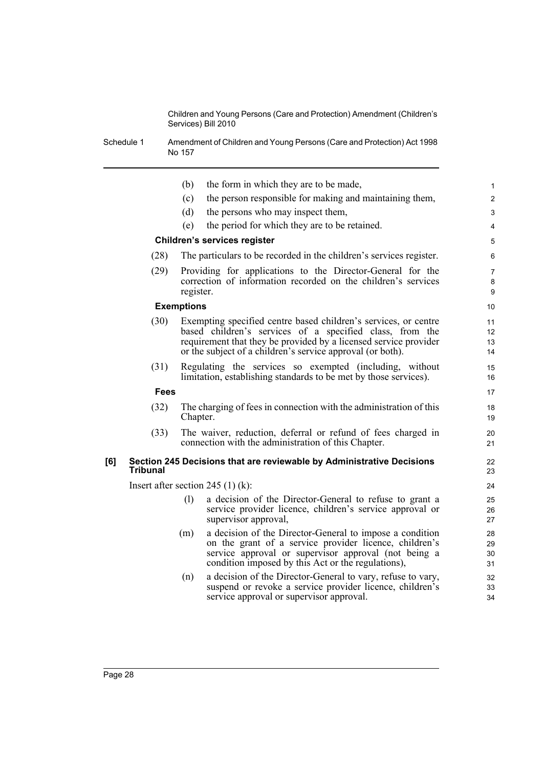Schedule 1 Amendment of Children and Young Persons (Care and Protection) Act 1998 No 157

|     |                                     | (b)               | the form in which they are to be made,                                                                                                                                                                                                                        | $\mathbf{1}$             |  |  |
|-----|-------------------------------------|-------------------|---------------------------------------------------------------------------------------------------------------------------------------------------------------------------------------------------------------------------------------------------------------|--------------------------|--|--|
|     |                                     | (c)               | the person responsible for making and maintaining them,                                                                                                                                                                                                       | $\overline{c}$           |  |  |
|     |                                     | (d)               | the persons who may inspect them,                                                                                                                                                                                                                             | 3                        |  |  |
|     |                                     | (e)               | the period for which they are to be retained.                                                                                                                                                                                                                 | 4                        |  |  |
|     | <b>Children's services register</b> |                   |                                                                                                                                                                                                                                                               |                          |  |  |
|     | (28)                                |                   | The particulars to be recorded in the children's services register.                                                                                                                                                                                           | 6                        |  |  |
|     | (29)                                | register.         | Providing for applications to the Director-General for the<br>correction of information recorded on the children's services                                                                                                                                   | $\overline{7}$<br>8<br>9 |  |  |
|     |                                     | <b>Exemptions</b> |                                                                                                                                                                                                                                                               |                          |  |  |
|     | (30)                                |                   | Exempting specified centre based children's services, or centre<br>based children's services of a specified class, from the<br>requirement that they be provided by a licensed service provider<br>or the subject of a children's service approval (or both). | 11<br>12<br>13<br>14     |  |  |
|     | (31)                                |                   | Regulating the services so exempted (including, without<br>limitation, establishing standards to be met by those services).                                                                                                                                   | 15<br>16                 |  |  |
|     | <b>Fees</b>                         |                   |                                                                                                                                                                                                                                                               | 17                       |  |  |
|     | (32)                                | Chapter.          | The charging of fees in connection with the administration of this                                                                                                                                                                                            | 18<br>19                 |  |  |
|     | (33)                                |                   | The waiver, reduction, deferral or refund of fees charged in<br>connection with the administration of this Chapter.                                                                                                                                           | 20<br>21                 |  |  |
| [6] | <b>Tribunal</b>                     |                   | Section 245 Decisions that are reviewable by Administrative Decisions                                                                                                                                                                                         | 22<br>23                 |  |  |
|     |                                     |                   | Insert after section 245 $(1)$ (k):                                                                                                                                                                                                                           | 24                       |  |  |
|     |                                     | (1)               | a decision of the Director-General to refuse to grant a<br>service provider licence, children's service approval or<br>supervisor approval,                                                                                                                   | 25<br>26<br>27           |  |  |
|     |                                     | (m)               | a decision of the Director-General to impose a condition<br>on the grant of a service provider licence, children's<br>service approval or supervisor approval (not being a<br>condition imposed by this Act or the regulations),                              | 28<br>29<br>30<br>31     |  |  |
|     |                                     | (n)               | a decision of the Director-General to vary, refuse to vary,<br>suspend or revoke a service provider licence, children's<br>service approval or supervisor approval.                                                                                           | 32<br>33<br>34           |  |  |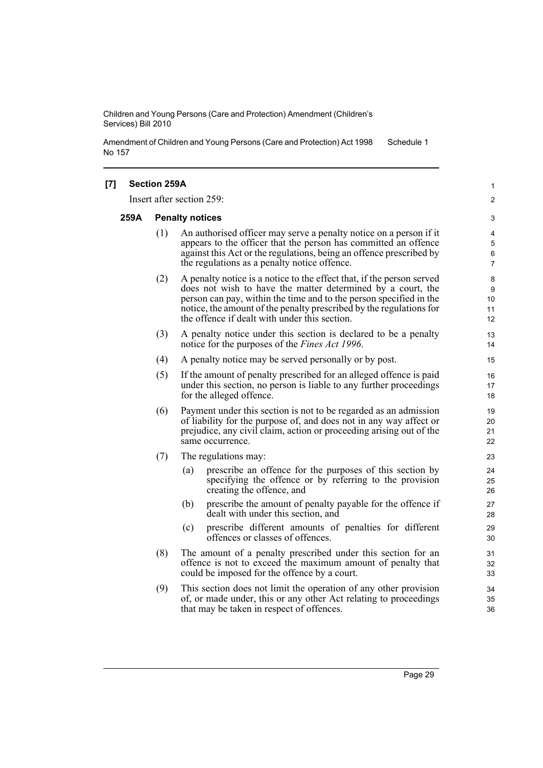Amendment of Children and Young Persons (Care and Protection) Act 1998 No 157 Schedule 1

| [7] |      | <b>Section 259A</b>    |                                                                                                                                                                                                                                                                                                                                    | 1                        |
|-----|------|------------------------|------------------------------------------------------------------------------------------------------------------------------------------------------------------------------------------------------------------------------------------------------------------------------------------------------------------------------------|--------------------------|
|     |      |                        | Insert after section 259:                                                                                                                                                                                                                                                                                                          | 2                        |
|     | 259A | <b>Penalty notices</b> |                                                                                                                                                                                                                                                                                                                                    |                          |
|     |      | (1)                    | An authorised officer may serve a penalty notice on a person if it<br>appears to the officer that the person has committed an offence<br>against this Act or the regulations, being an offence prescribed by<br>the regulations as a penalty notice offence.                                                                       | 4<br>5<br>6<br>7         |
|     |      | (2)                    | A penalty notice is a notice to the effect that, if the person served<br>does not wish to have the matter determined by a court, the<br>person can pay, within the time and to the person specified in the<br>notice, the amount of the penalty prescribed by the regulations for<br>the offence if dealt with under this section. | 8<br>9<br>10<br>11<br>12 |
|     |      | (3)                    | A penalty notice under this section is declared to be a penalty<br>notice for the purposes of the <i>Fines Act 1996</i> .                                                                                                                                                                                                          | 13<br>14                 |
|     |      | (4)                    | A penalty notice may be served personally or by post.                                                                                                                                                                                                                                                                              | 15                       |
|     |      | (5)                    | If the amount of penalty prescribed for an alleged offence is paid<br>under this section, no person is liable to any further proceedings<br>for the alleged offence.                                                                                                                                                               | 16<br>17<br>18           |
|     |      | (6)                    | Payment under this section is not to be regarded as an admission<br>of liability for the purpose of, and does not in any way affect or<br>prejudice, any civil claim, action or proceeding arising out of the<br>same occurrence.                                                                                                  | 19<br>20<br>21<br>22     |
|     |      | (7)                    | The regulations may:                                                                                                                                                                                                                                                                                                               | 23                       |
|     |      |                        | prescribe an offence for the purposes of this section by<br>(a)<br>specifying the offence or by referring to the provision<br>creating the offence, and                                                                                                                                                                            | 24<br>25<br>26           |
|     |      |                        | (b)<br>prescribe the amount of penalty payable for the offence if<br>dealt with under this section, and                                                                                                                                                                                                                            | 27<br>28                 |
|     |      |                        | (c)<br>prescribe different amounts of penalties for different<br>offences or classes of offences.                                                                                                                                                                                                                                  | 29<br>30                 |
|     |      | (8)                    | The amount of a penalty prescribed under this section for an<br>offence is not to exceed the maximum amount of penalty that<br>could be imposed for the offence by a court.                                                                                                                                                        | 31<br>32<br>33           |
|     |      | (9)                    | This section does not limit the operation of any other provision<br>of, or made under, this or any other Act relating to proceedings<br>that may be taken in respect of offences.                                                                                                                                                  | 34<br>35<br>36           |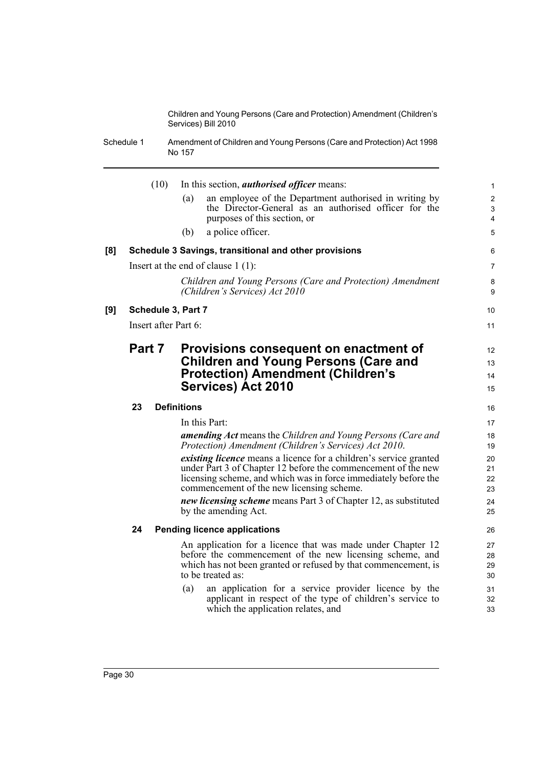Schedule 1 Amendment of Children and Young Persons (Care and Protection) Act 1998 No 157

|     | (10)                 | In this section, <i>authorised officer</i> means:                                                                                                                                                                                                         | $\mathbf{1}$         |
|-----|----------------------|-----------------------------------------------------------------------------------------------------------------------------------------------------------------------------------------------------------------------------------------------------------|----------------------|
|     |                      | an employee of the Department authorised in writing by<br>(a)                                                                                                                                                                                             | $\overline{c}$       |
|     |                      | the Director-General as an authorised officer for the<br>purposes of this section, or                                                                                                                                                                     | 3<br>4               |
|     |                      | a police officer.<br>(b)                                                                                                                                                                                                                                  | 5                    |
| [8] |                      | Schedule 3 Savings, transitional and other provisions                                                                                                                                                                                                     | 6                    |
|     |                      | Insert at the end of clause $1(1)$ :                                                                                                                                                                                                                      | $\overline{7}$       |
|     |                      | Children and Young Persons (Care and Protection) Amendment<br>(Children's Services) Act 2010                                                                                                                                                              | 8<br>9               |
| [9] | Schedule 3, Part 7   |                                                                                                                                                                                                                                                           | 10                   |
|     | Insert after Part 6: |                                                                                                                                                                                                                                                           | 11                   |
|     | Part 7               | Provisions consequent on enactment of                                                                                                                                                                                                                     | 12                   |
|     |                      | <b>Children and Young Persons (Care and</b>                                                                                                                                                                                                               | 13                   |
|     |                      | <b>Protection) Amendment (Children's</b>                                                                                                                                                                                                                  | 14                   |
|     |                      | <b>Services) Act 2010</b>                                                                                                                                                                                                                                 | 15                   |
|     | 23                   | <b>Definitions</b>                                                                                                                                                                                                                                        | 16                   |
|     |                      | In this Part:                                                                                                                                                                                                                                             | 17                   |
|     |                      | <b>amending Act</b> means the Children and Young Persons (Care and<br>Protection) Amendment (Children's Services) Act 2010.                                                                                                                               | 18<br>19             |
|     |                      | <i>existing licence</i> means a licence for a children's service granted<br>under Part 3 of Chapter 12 before the commencement of the new<br>licensing scheme, and which was in force immediately before the<br>commencement of the new licensing scheme. | 20<br>21<br>22<br>23 |
|     |                      | new licensing scheme means Part 3 of Chapter 12, as substituted<br>by the amending Act.                                                                                                                                                                   | 24<br>25             |
|     | 24                   | <b>Pending licence applications</b>                                                                                                                                                                                                                       | 26                   |
|     |                      | An application for a licence that was made under Chapter 12<br>before the commencement of the new licensing scheme, and<br>which has not been granted or refused by that commencement, is<br>to be treated as:                                            | 27<br>28<br>29<br>30 |
|     |                      | an application for a service provider licence by the<br>(a)<br>applicant in respect of the type of children's service to<br>which the application relates, and                                                                                            | 31<br>32<br>33       |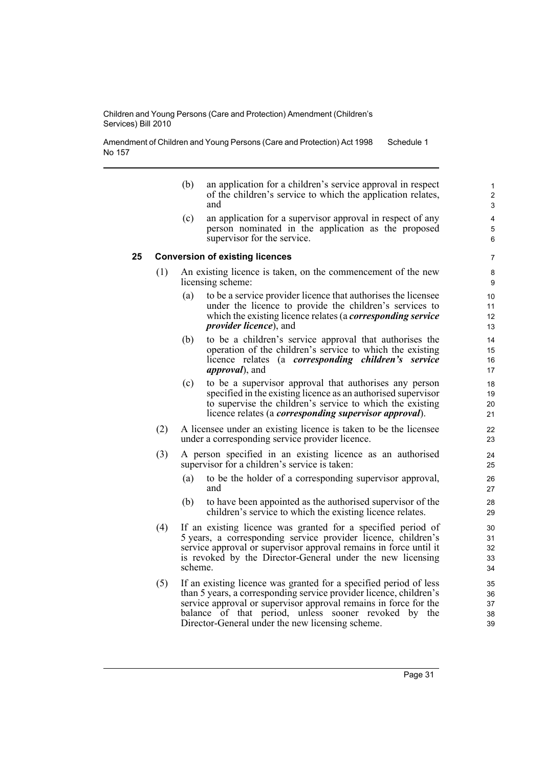Amendment of Children and Young Persons (Care and Protection) Act 1998 No 157 Schedule 1

- (b) an application for a children's service approval in respect of the children's service to which the application relates, and
- (c) an application for a supervisor approval in respect of any person nominated in the application as the proposed supervisor for the service.

#### **25 Conversion of existing licences**

- (1) An existing licence is taken, on the commencement of the new licensing scheme:
	- (a) to be a service provider licence that authorises the licensee under the licence to provide the children's services to which the existing licence relates (a *corresponding service provider licence*), and
	- (b) to be a children's service approval that authorises the operation of the children's service to which the existing licence relates (a *corresponding children's service approval*), and
	- (c) to be a supervisor approval that authorises any person specified in the existing licence as an authorised supervisor to supervise the children's service to which the existing licence relates (a *corresponding supervisor approval*).
- (2) A licensee under an existing licence is taken to be the licensee under a corresponding service provider licence.
- (3) A person specified in an existing licence as an authorised supervisor for a children's service is taken:
	- (a) to be the holder of a corresponding supervisor approval, and
	- (b) to have been appointed as the authorised supervisor of the children's service to which the existing licence relates.
- (4) If an existing licence was granted for a specified period of 5 years, a corresponding service provider licence, children's service approval or supervisor approval remains in force until it is revoked by the Director-General under the new licensing scheme.
- (5) If an existing licence was granted for a specified period of less than 5 years, a corresponding service provider licence, children's service approval or supervisor approval remains in force for the balance of that period, unless sooner revoked by the Director-General under the new licensing scheme.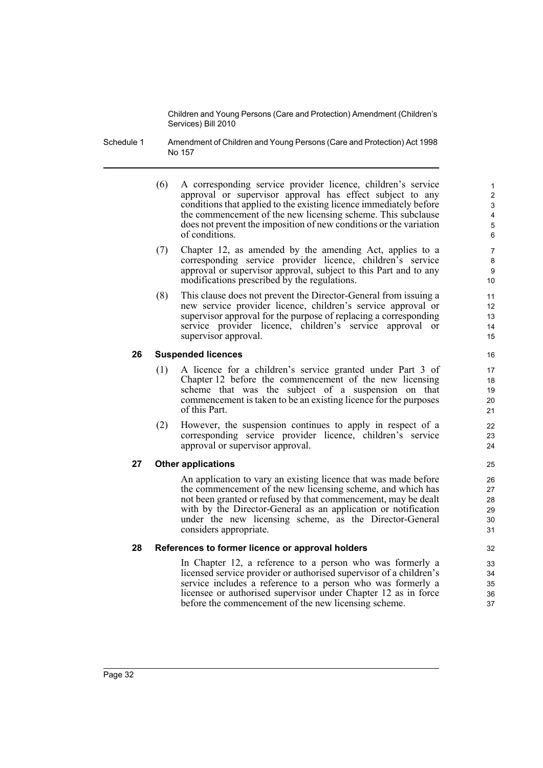- Schedule 1 Amendment of Children and Young Persons (Care and Protection) Act 1998 No 157
	- (6) A corresponding service provider licence, children's service approval or supervisor approval has effect subject to any conditions that applied to the existing licence immediately before the commencement of the new licensing scheme. This subclause does not prevent the imposition of new conditions or the variation of conditions.

- (7) Chapter 12, as amended by the amending Act, applies to a corresponding service provider licence, children's service approval or supervisor approval, subject to this Part and to any modifications prescribed by the regulations.
- (8) This clause does not prevent the Director-General from issuing a new service provider licence, children's service approval or supervisor approval for the purpose of replacing a corresponding service provider licence, children's service approval or supervisor approval.

#### **26 Suspended licences**

- (1) A licence for a children's service granted under Part 3 of Chapter 12 before the commencement of the new licensing scheme that was the subject of a suspension on that commencement is taken to be an existing licence for the purposes of this Part.
- (2) However, the suspension continues to apply in respect of a corresponding service provider licence, children's service approval or supervisor approval.

#### **27 Other applications**

An application to vary an existing licence that was made before the commencement of the new licensing scheme, and which has not been granted or refused by that commencement, may be dealt with by the Director-General as an application or notification under the new licensing scheme, as the Director-General considers appropriate.

#### **28 References to former licence or approval holders**

In Chapter 12, a reference to a person who was formerly a licensed service provider or authorised supervisor of a children's service includes a reference to a person who was formerly a licensee or authorised supervisor under Chapter 12 as in force before the commencement of the new licensing scheme.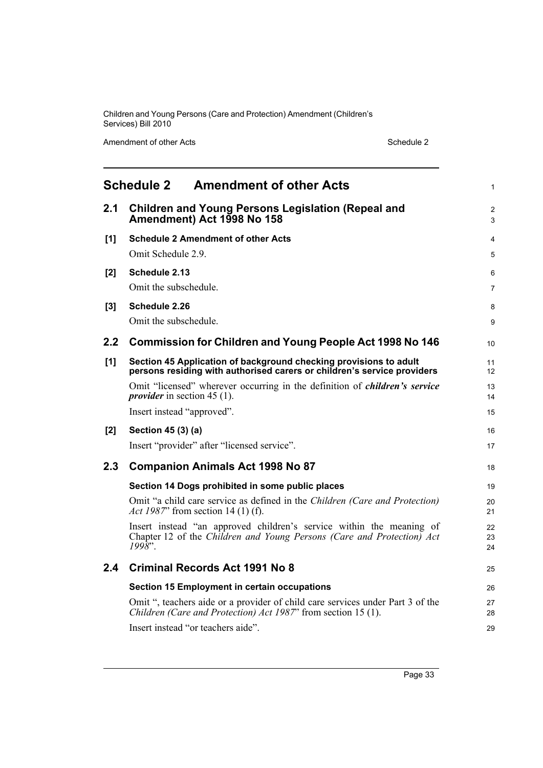Amendment of other Acts Schedule 2

<span id="page-40-0"></span>

|       | <b>Schedule 2</b><br><b>Amendment of other Acts</b>                                                                                                         | 1              |  |  |
|-------|-------------------------------------------------------------------------------------------------------------------------------------------------------------|----------------|--|--|
| 2.1   | <b>Children and Young Persons Legislation (Repeal and</b><br>Amendment) Act 1998 No 158                                                                     |                |  |  |
| [1]   | <b>Schedule 2 Amendment of other Acts</b>                                                                                                                   | 4              |  |  |
|       | Omit Schedule 2.9.                                                                                                                                          | 5              |  |  |
| $[2]$ | Schedule 2.13                                                                                                                                               | 6              |  |  |
|       | Omit the subschedule.                                                                                                                                       | 7              |  |  |
| [3]   | Schedule 2.26                                                                                                                                               | 8              |  |  |
|       | Omit the subschedule.                                                                                                                                       | 9              |  |  |
| 2.2   | <b>Commission for Children and Young People Act 1998 No 146</b>                                                                                             | 10             |  |  |
| [1]   | Section 45 Application of background checking provisions to adult<br>persons residing with authorised carers or children's service providers                | 11<br>12       |  |  |
|       | Omit "licensed" wherever occurring in the definition of <i>children's service</i><br><i>provider</i> in section 45 (1).                                     | 13<br>14       |  |  |
|       | Insert instead "approved".                                                                                                                                  | 15             |  |  |
| [2]   | Section 45 (3) (a)                                                                                                                                          | 16             |  |  |
|       | Insert "provider" after "licensed service".                                                                                                                 | 17             |  |  |
| 2.3   | <b>Companion Animals Act 1998 No 87</b>                                                                                                                     | 18             |  |  |
|       | Section 14 Dogs prohibited in some public places                                                                                                            | 19             |  |  |
|       | Omit "a child care service as defined in the Children (Care and Protection)<br>Act 1987" from section 14 (1) (f).                                           | 20<br>21       |  |  |
|       | Insert instead "an approved children's service within the meaning of<br>Chapter 12 of the Children and Young Persons (Care and Protection) Act<br>$1998$ ". | 22<br>23<br>24 |  |  |
| 2.4   | <b>Criminal Records Act 1991 No 8</b>                                                                                                                       | 25             |  |  |
|       | Section 15 Employment in certain occupations                                                                                                                | 26             |  |  |
|       | Omit ", teachers aide or a provider of child care services under Part 3 of the<br>Children (Care and Protection) Act 1987" from section 15 (1).             | 27<br>28       |  |  |
|       | Insert instead "or teachers aide".                                                                                                                          | 29             |  |  |